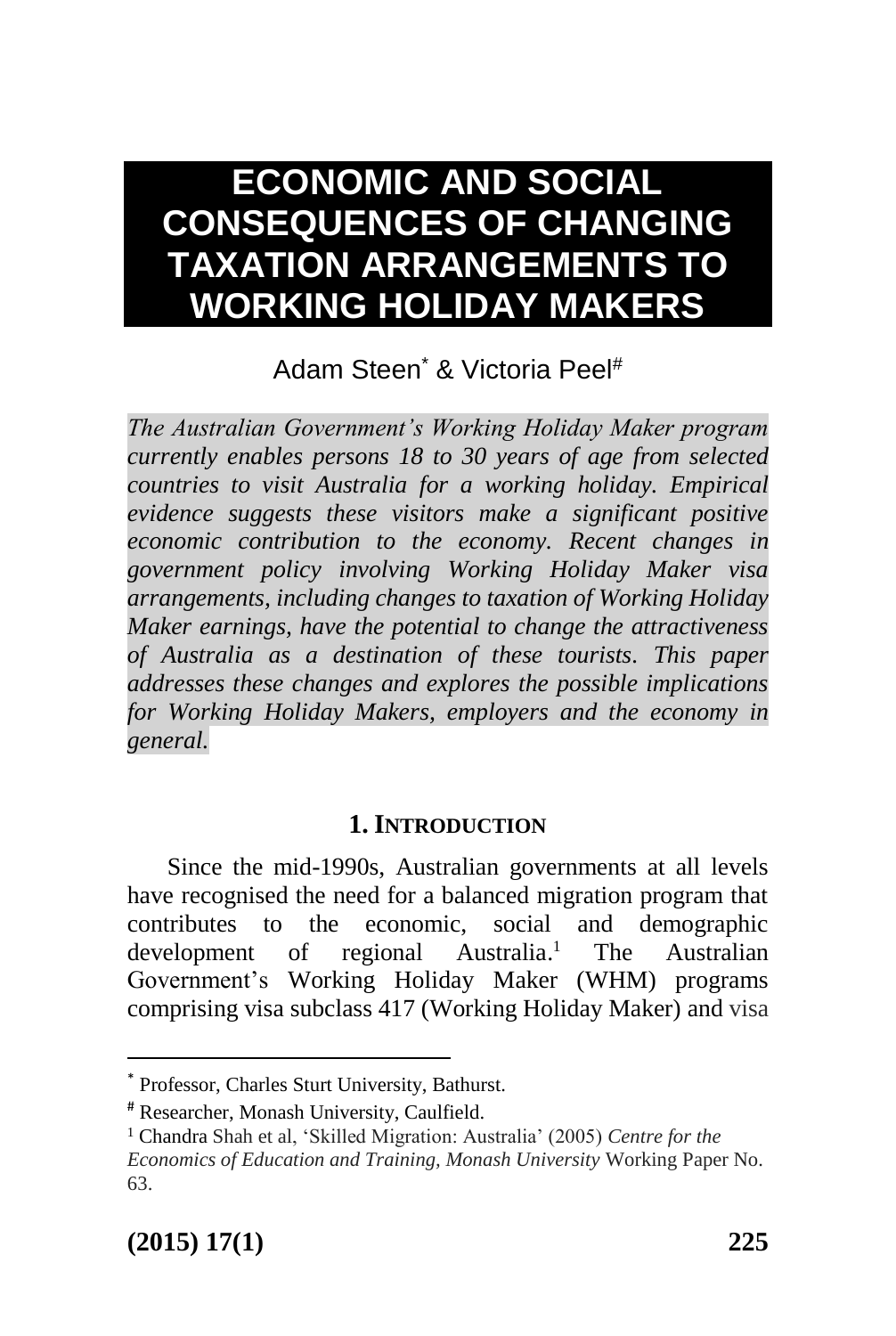# **ECONOMIC AND SOCIAL CONSEQUENCES OF CHANGING TAXATION ARRANGEMENTS TO WORKING HOLIDAY MAKERS**

# Adam Steen\* & Victoria Peel#

*The Australian Government's Working Holiday Maker program currently enables persons 18 to 30 years of age from selected countries to visit Australia for a working holiday. Empirical evidence suggests these visitors make a significant positive economic contribution to the economy. Recent changes in government policy involving Working Holiday Maker visa arrangements, including changes to taxation of Working Holiday Maker earnings, have the potential to change the attractiveness of Australia as a destination of these tourists. This paper addresses these changes and explores the possible implications for Working Holiday Makers, employers and the economy in general.*

#### **1. INTRODUCTION**

Since the mid-1990s, Australian governments at all levels have recognised the need for a balanced migration program that contributes to the economic, social and demographic development of regional Australia. The Australian Government's Working Holiday Maker (WHM) programs comprising visa subclass 417 (Working Holiday Maker) and visa

<sup>\*</sup> Professor, Charles Sturt University, Bathurst.

<sup>#</sup> Researcher, Monash University, Caulfield.

<sup>1</sup> Chandra Shah et al, 'Skilled Migration: Australia' (2005) *Centre for the Economics of Education and Training, Monash University* Working Paper No. 63.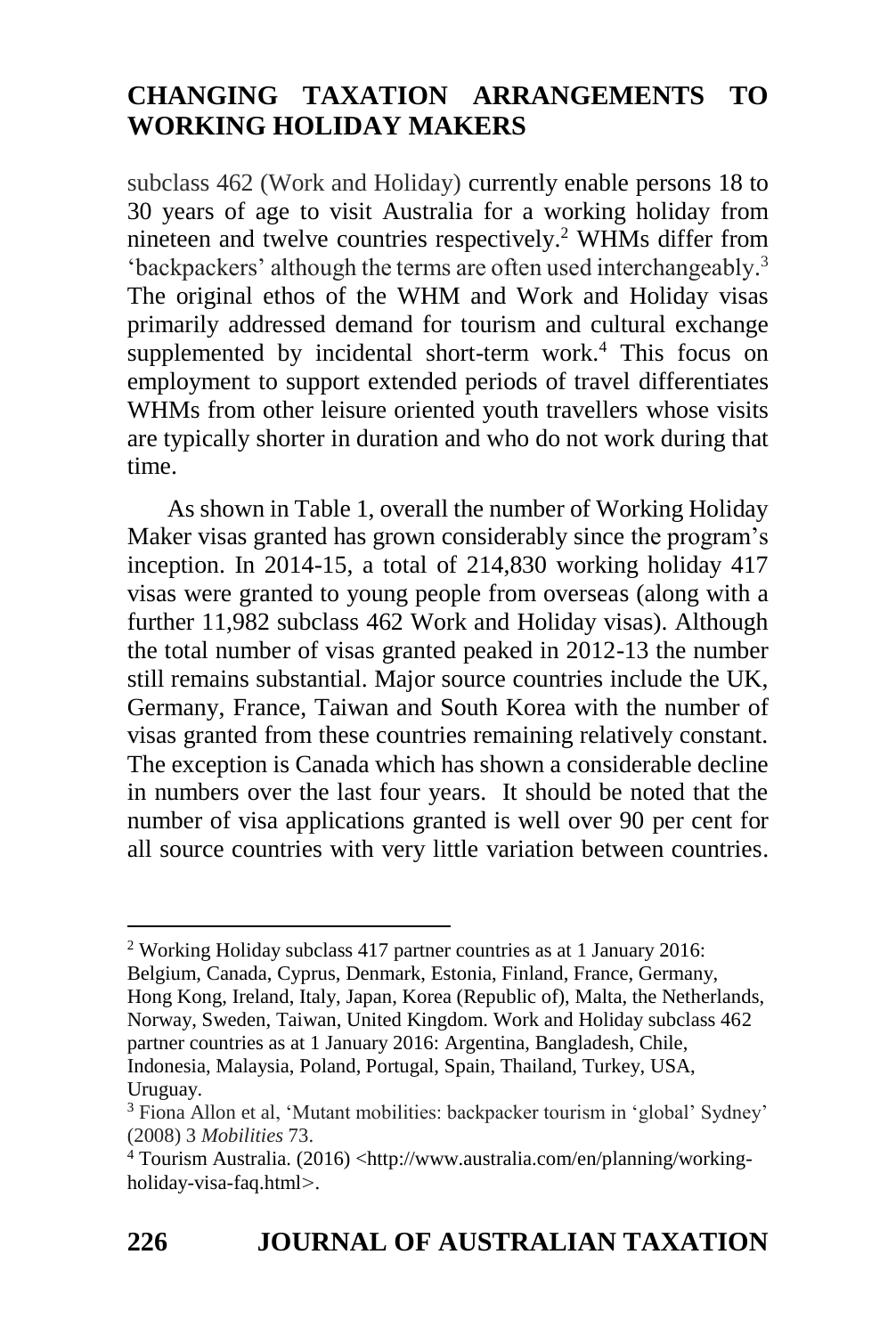subclass 462 (Work and Holiday) currently enable persons 18 to 30 years of age to visit Australia for a working holiday from nineteen and twelve countries respectively. <sup>2</sup> WHMs differ from 'backpackers' although the terms are often used interchangeably. 3 The original ethos of the WHM and Work and Holiday visas primarily addressed demand for tourism and cultural exchange supplemented by incidental short-term work. <sup>4</sup> This focus on employment to support extended periods of travel differentiates WHMs from other leisure oriented youth travellers whose visits are typically shorter in duration and who do not work during that time.

As shown in Table 1, overall the number of Working Holiday Maker visas granted has grown considerably since the program's inception. In 2014-15, a total of 214,830 working holiday 417 visas were granted to young people from overseas (along with a further 11,982 subclass 462 Work and Holiday visas). Although the total number of visas granted peaked in 2012-13 the number still remains substantial. Major source countries include the UK, Germany, France, Taiwan and South Korea with the number of visas granted from these countries remaining relatively constant. The exception is Canada which has shown a considerable decline in numbers over the last four years. It should be noted that the number of visa applications granted is well over 90 per cent for all source countries with very little variation between countries.

<sup>2</sup> Working Holiday subclass 417 partner countries as at 1 January 2016: Belgium, Canada, Cyprus, Denmark, Estonia, Finland, France, Germany, Hong Kong, Ireland, Italy, Japan, Korea (Republic of), Malta, the Netherlands, Norway, Sweden, Taiwan, United Kingdom. Work and Holiday subclass 462 partner countries as at 1 January 2016: Argentina, Bangladesh, Chile, Indonesia, Malaysia, Poland, Portugal, Spain, Thailand, Turkey, USA, Uruguay.

<sup>&</sup>lt;sup>3</sup> Fiona Allon et al, 'Mutant mobilities: backpacker tourism in 'global' Sydney' (2008) 3 *Mobilities* 73.

<sup>4</sup> Tourism Australia. (2016) [<http://www.australia.com/en/planning/working](http://www.australia.com/en/planning/working-holiday-visa-faq.html)[holiday-visa-faq.html](http://www.australia.com/en/planning/working-holiday-visa-faq.html)>.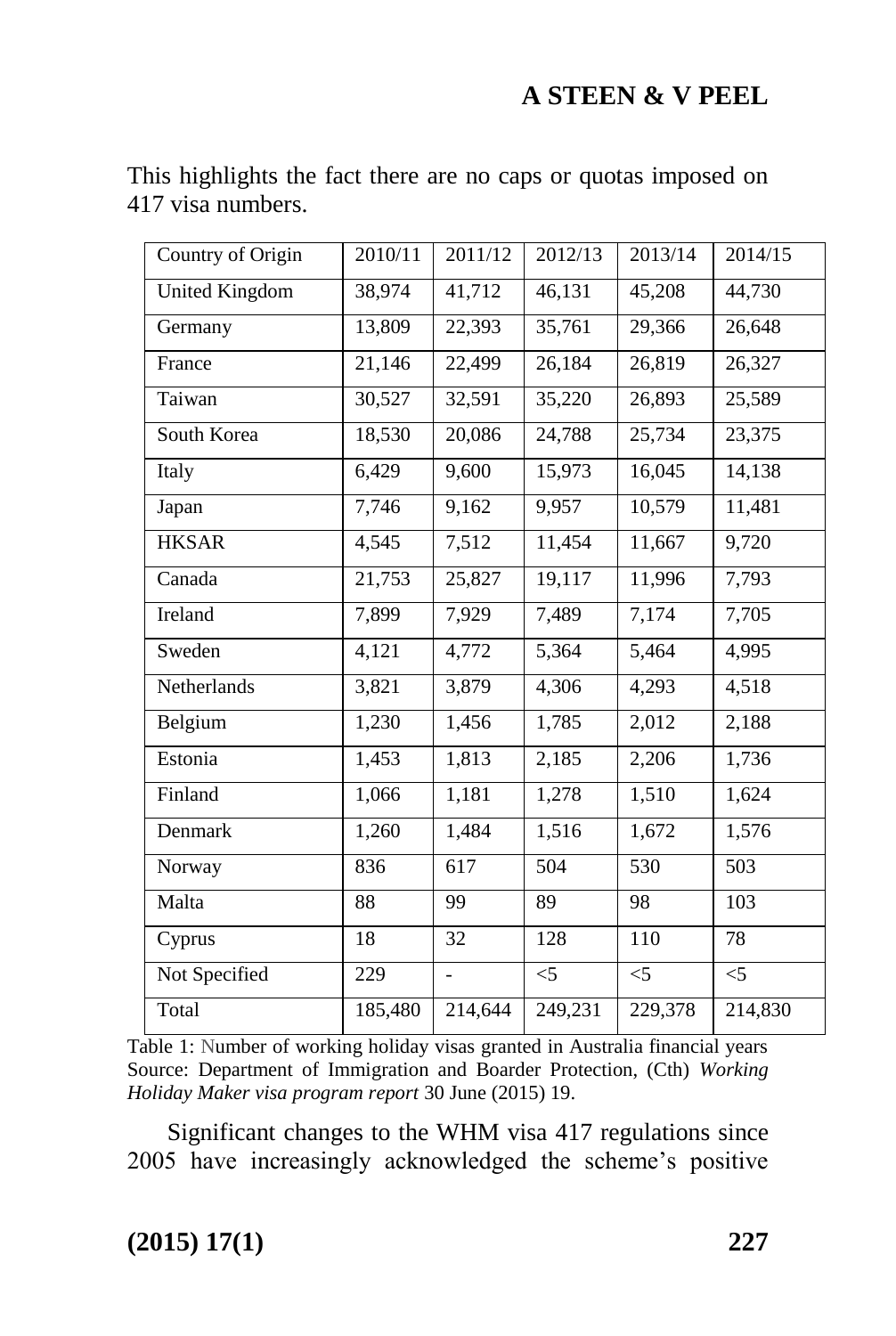| Country of Origin     | 2010/11 | 2011/12          | 2012/13 | 2013/14 | 2014/15 |
|-----------------------|---------|------------------|---------|---------|---------|
| <b>United Kingdom</b> | 38,974  | 41,712           | 46,131  | 45,208  | 44,730  |
| Germany               | 13,809  | 22,393           | 35,761  | 29,366  | 26,648  |
| France                | 21,146  | 22,499           | 26,184  | 26,819  | 26,327  |
| Taiwan                | 30,527  | 32,591           | 35,220  | 26,893  | 25,589  |
| South Korea           | 18,530  | 20,086           | 24,788  | 25,734  | 23,375  |
| Italy                 | 6,429   | 9,600            | 15,973  | 16,045  | 14,138  |
| Japan                 | 7,746   | 9,162            | 9,957   | 10,579  | 11,481  |
| <b>HKSAR</b>          | 4,545   | 7,512            | 11,454  | 11,667  | 9,720   |
| Canada                | 21,753  | 25,827           | 19,117  | 11,996  | 7,793   |
| Ireland               | 7,899   | 7,929            | 7,489   | 7,174   | 7,705   |
| Sweden                | 4,121   | 4,772            | 5,364   | 5,464   | 4,995   |
| Netherlands           | 3,821   | 3,879            | 4,306   | 4,293   | 4,518   |
| Belgium               | 1,230   | 1,456            | 1,785   | 2,012   | 2,188   |
| Estonia               | 1,453   | 1,813            | 2,185   | 2,206   | 1,736   |
| Finland               | 1,066   | 1,181            | 1,278   | 1,510   | 1,624   |
| Denmark               | 1,260   | 1,484            | 1,516   | 1,672   | 1,576   |
| Norway                | 836     | $\overline{617}$ | 504     | 530     | 503     |
| Malta                 | 88      | 99               | 89      | 98      | 103     |
| Cyprus                | 18      | 32               | 128     | 110     | 78      |
| Not Specified         | 229     |                  | $<$ 5   | $<$ 5   | $<$ 5   |
| Total                 | 185,480 | 214,644          | 249,231 | 229,378 | 214,830 |

This highlights the fact there are no caps or quotas imposed on 417 visa numbers.

Table 1: Number of working holiday visas granted in Australia financial years Source: Department of Immigration and Boarder Protection, (Cth) *Working Holiday Maker visa program report* 30 June (2015) 19.

Significant changes to the WHM visa 417 regulations since 2005 have increasingly acknowledged the scheme's positive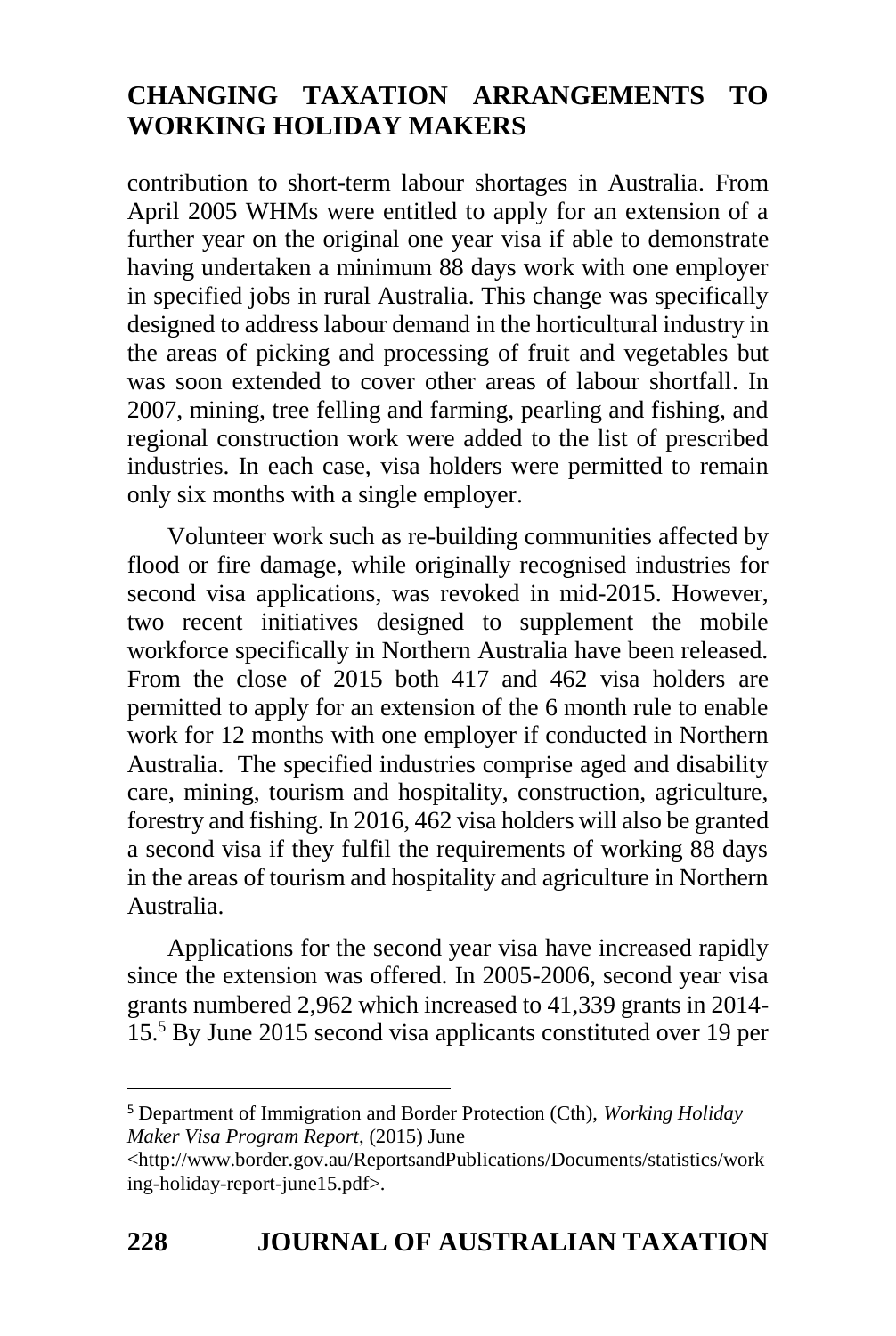contribution to short-term labour shortages in Australia. From April 2005 WHMs were entitled to apply for an extension of a further year on the original one year visa if able to demonstrate having undertaken a minimum 88 days work with one employer in specified jobs in rural Australia. This change was specifically designed to address labour demand in the horticultural industry in the areas of picking and processing of fruit and vegetables but was soon extended to cover other areas of labour shortfall. In 2007, mining, tree felling and farming, pearling and fishing, and regional construction work were added to the list of prescribed industries. In each case, visa holders were permitted to remain only six months with a single employer.

Volunteer work such as re-building communities affected by flood or fire damage, while originally recognised industries for second visa applications, was revoked in mid-2015. However, two recent initiatives designed to supplement the mobile workforce specifically in Northern Australia have been released. From the close of 2015 both 417 and 462 visa holders are permitted to apply for an extension of the 6 month rule to enable work for 12 months with one employer if conducted in Northern Australia. The specified industries comprise aged and disability care, mining, tourism and hospitality, construction, agriculture, forestry and fishing. In 2016, 462 visa holders will also be granted a second visa if they fulfil the requirements of working 88 days in the areas of tourism and hospitality and agriculture in Northern Australia.

Applications for the second year visa have increased rapidly since the extension was offered. In 2005-2006, second year visa grants numbered 2,962 which increased to 41,339 grants in 2014- 15. <sup>5</sup> By June 2015 second visa applicants constituted over 19 per

<sup>5</sup> Department of Immigration and Border Protection (Cth), *Working Holiday Maker Visa Program Report*, (2015) June

-

<sup>&</sup>lt;http://www.border.gov.au/ReportsandPublications/Documents/statistics/work ing-holiday-report-june15.pdf>.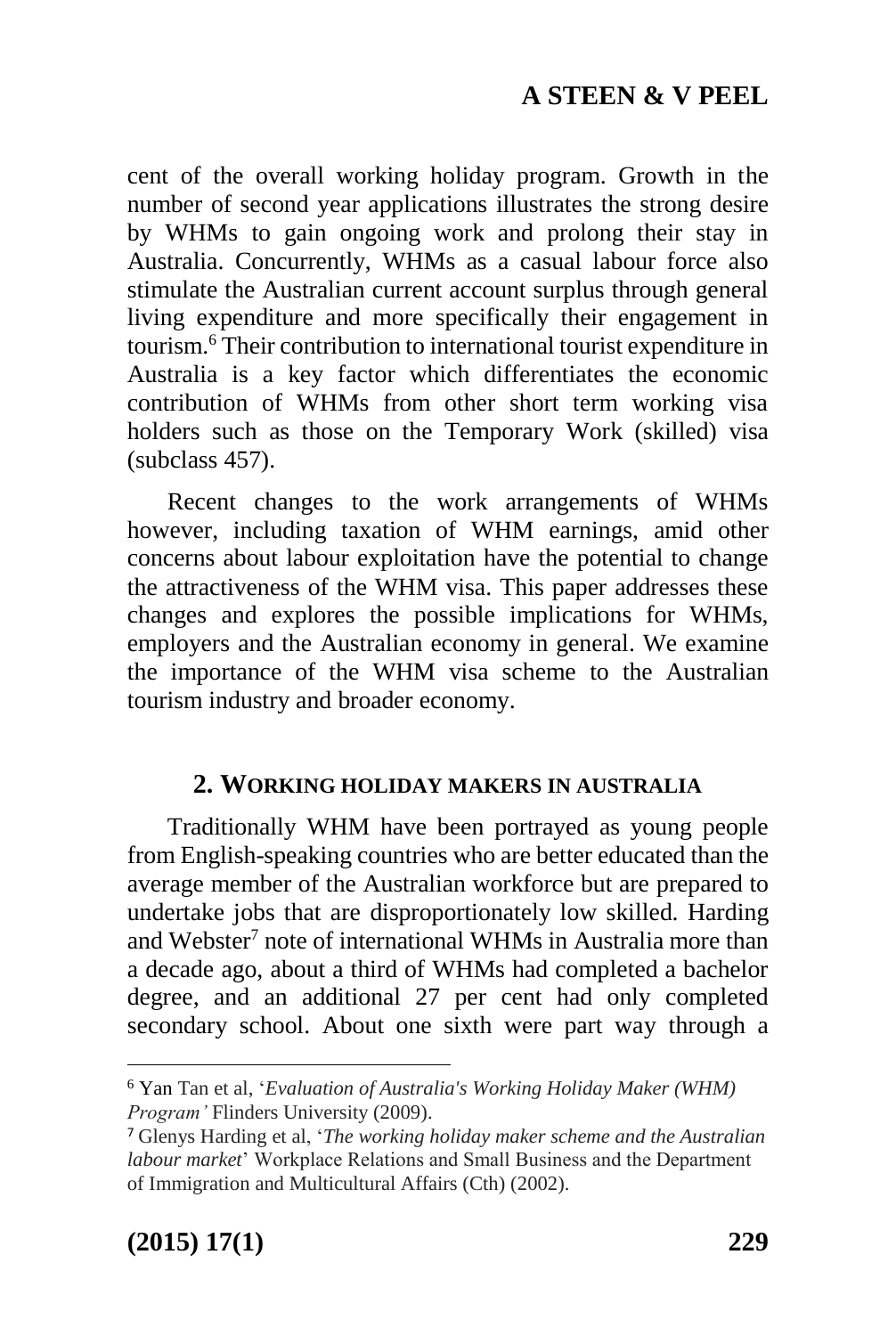cent of the overall working holiday program. Growth in the number of second year applications illustrates the strong desire by WHMs to gain ongoing work and prolong their stay in Australia. Concurrently, WHMs as a casual labour force also stimulate the Australian current account surplus through general living expenditure and more specifically their engagement in tourism. <sup>6</sup> Their contribution to international tourist expenditure in Australia is a key factor which differentiates the economic contribution of WHMs from other short term working visa holders such as those on the Temporary Work (skilled) visa (subclass 457).

Recent changes to the work arrangements of WHMs however, including taxation of WHM earnings, amid other concerns about labour exploitation have the potential to change the attractiveness of the WHM visa. This paper addresses these changes and explores the possible implications for WHMs, employers and the Australian economy in general. We examine the importance of the WHM visa scheme to the Australian tourism industry and broader economy.

#### **2. WORKING HOLIDAY MAKERS IN AUSTRALIA**

Traditionally WHM have been portrayed as young people from English-speaking countries who are better educated than the average member of the Australian workforce but are prepared to undertake jobs that are disproportionately low skilled. Harding and Webster<sup>7</sup> note of international WHMs in Australia more than a decade ago, about a third of WHMs had completed a bachelor degree, and an additional 27 per cent had only completed secondary school. About one sixth were part way through a

<sup>6</sup> Yan Tan et al, '*Evaluation of Australia's Working Holiday Maker (WHM) Program'* Flinders University (2009).

<sup>7</sup> Glenys Harding et al, '*The working holiday maker scheme and the Australian labour market*' Workplace Relations and Small Business and the Department of Immigration and Multicultural Affairs (Cth) (2002).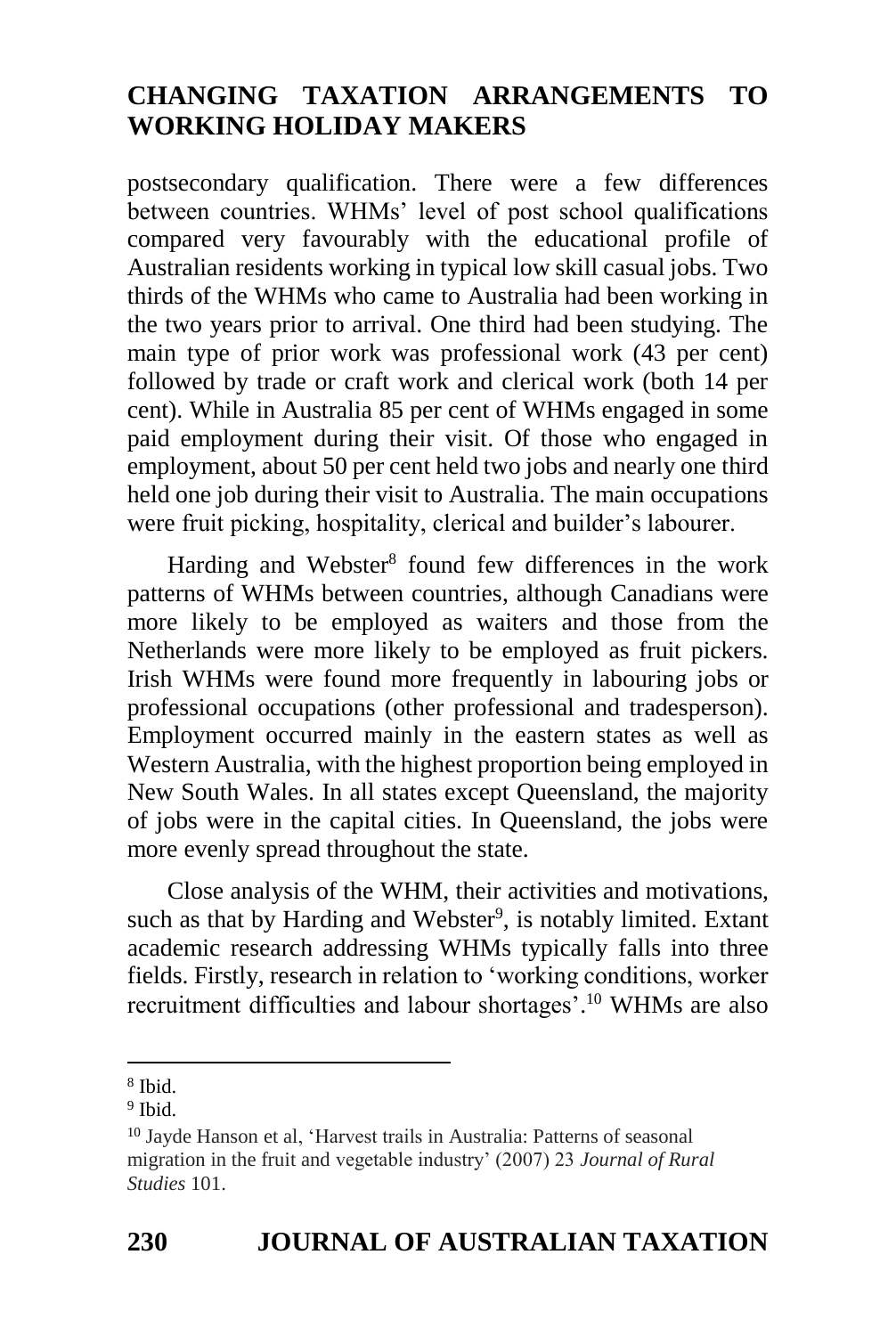postsecondary qualification. There were a few differences between countries. WHMs' level of post school qualifications compared very favourably with the educational profile of Australian residents working in typical low skill casual jobs. Two thirds of the WHMs who came to Australia had been working in the two years prior to arrival. One third had been studying. The main type of prior work was professional work (43 per cent) followed by trade or craft work and clerical work (both 14 per cent). While in Australia 85 per cent of WHMs engaged in some paid employment during their visit. Of those who engaged in employment, about 50 per cent held two jobs and nearly one third held one job during their visit to Australia. The main occupations were fruit picking, hospitality, clerical and builder's labourer.

Harding and Webster<sup>8</sup> found few differences in the work patterns of WHMs between countries, although Canadians were more likely to be employed as waiters and those from the Netherlands were more likely to be employed as fruit pickers. Irish WHMs were found more frequently in labouring jobs or professional occupations (other professional and tradesperson). Employment occurred mainly in the eastern states as well as Western Australia, with the highest proportion being employed in New South Wales. In all states except Queensland, the majority of jobs were in the capital cities. In Queensland, the jobs were more evenly spread throughout the state.

Close analysis of the WHM, their activities and motivations, such as that by Harding and Webster<sup>9</sup>, is notably limited. Extant academic research addressing WHMs typically falls into three fields. Firstly, research in relation to 'working conditions, worker recruitment difficulties and labour shortages'. <sup>10</sup> WHMs are also

<sup>-</sup>8 Ibid.

<sup>9</sup> Ibid.

<sup>10</sup> Jayde Hanson et al, 'Harvest trails in Australia: Patterns of seasonal migration in the fruit and vegetable industry' (2007) 23 *Journal of Rural Studies* 101.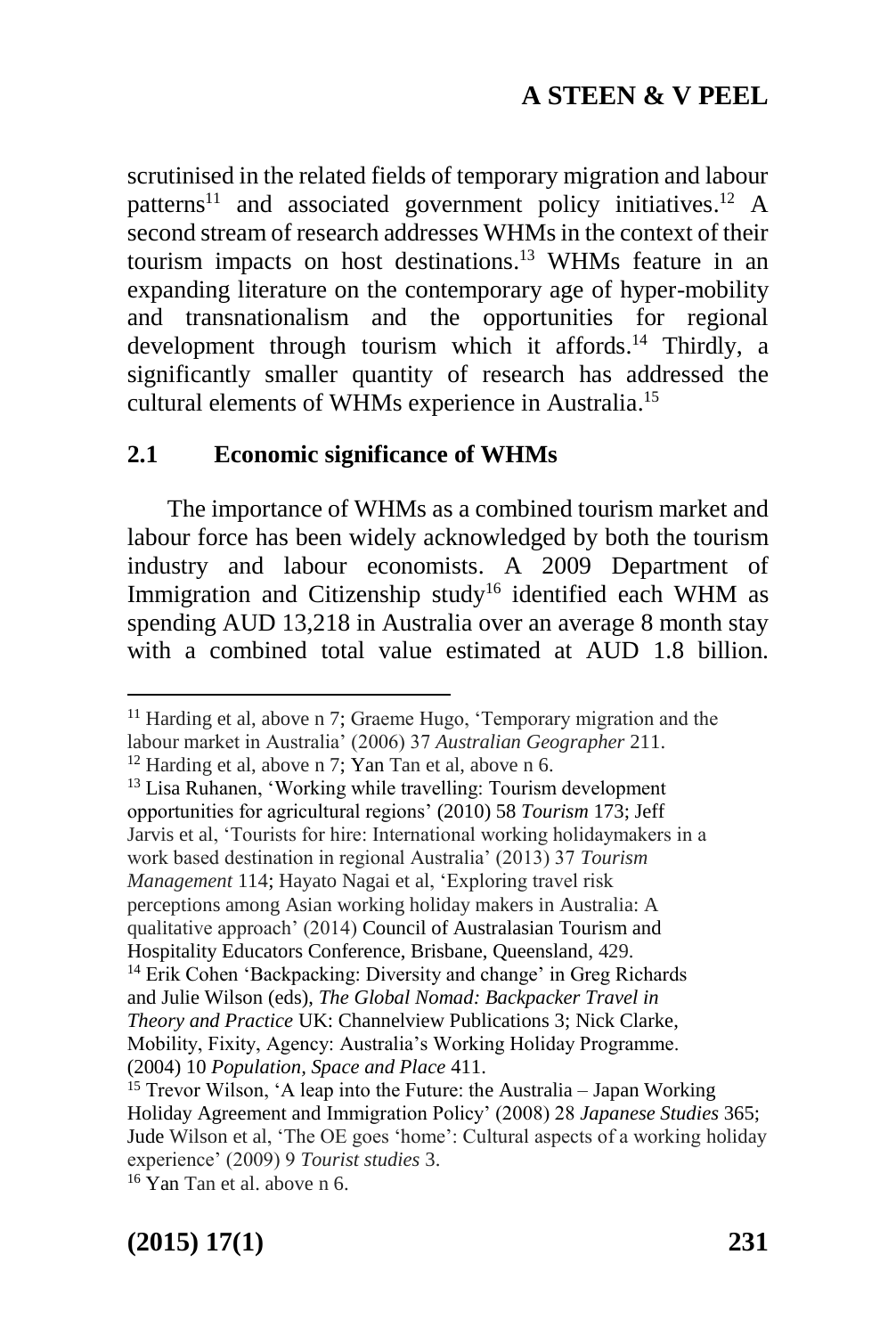scrutinised in the related fields of temporary migration and labour patterns<sup>11</sup> and associated government policy initiatives.<sup>12</sup> A second stream of research addresses WHMs in the context of their tourism impacts on host destinations. <sup>13</sup> WHMs feature in an expanding literature on the contemporary age of hyper-mobility and transnationalism and the opportunities for regional development through tourism which it affords. <sup>14</sup> Thirdly, a significantly smaller quantity of research has addressed the cultural elements of WHMs experience in Australia. 15

#### **2.1 Economic significance of WHMs**

The importance of WHMs as a combined tourism market and labour force has been widely acknowledged by both the tourism industry and labour economists. A 2009 Department of Immigration and Citizenship study<sup>16</sup> identified each WHM as spending AUD 13,218 in Australia over an average 8 month stay with a combined total value estimated at AUD 1.8 billion.

<sup>13</sup> Lisa Ruhanen, 'Working while travelling: Tourism development opportunities for agricultural regions' (2010) 58 *Tourism* 173; Jeff Jarvis et al, 'Tourists for hire: International working holidaymakers in a work based destination in regional Australia' (2013) 37 *Tourism Management* 114; Hayato Nagai et al, 'Exploring travel risk perceptions among Asian working holiday makers in Australia: A qualitative approach' (2014) Council of Australasian Tourism and Hospitality Educators Conference, Brisbane, Queensland, 429.

**(2015) 17(1) 231**

1

<sup>11</sup> Harding et al, above n 7; Graeme Hugo, 'Temporary migration and the labour market in Australia' (2006) 37 *Australian Geographer* 211.

<sup>12</sup> Harding et al, above n 7; Yan Tan et al, above n 6.

<sup>14</sup> Erik Cohen 'Backpacking: Diversity and change' in Greg Richards and Julie Wilson (eds), *The Global Nomad: Backpacker Travel in Theory and Practice* UK: Channelview Publications 3; Nick Clarke, Mobility, Fixity, Agency: Australia's Working Holiday Programme. (2004) 10 *Population, Space and Place* 411.

<sup>15</sup> Trevor Wilson, 'A leap into the Future: the Australia – Japan Working Holiday Agreement and Immigration Policy' (2008) 28 *Japanese Studies* 365; Jude Wilson et al, 'The OE goes 'home': Cultural aspects of a working holiday experience' (2009) 9 *Tourist studies* 3.

 $16$  Yan Tan et al. above n 6.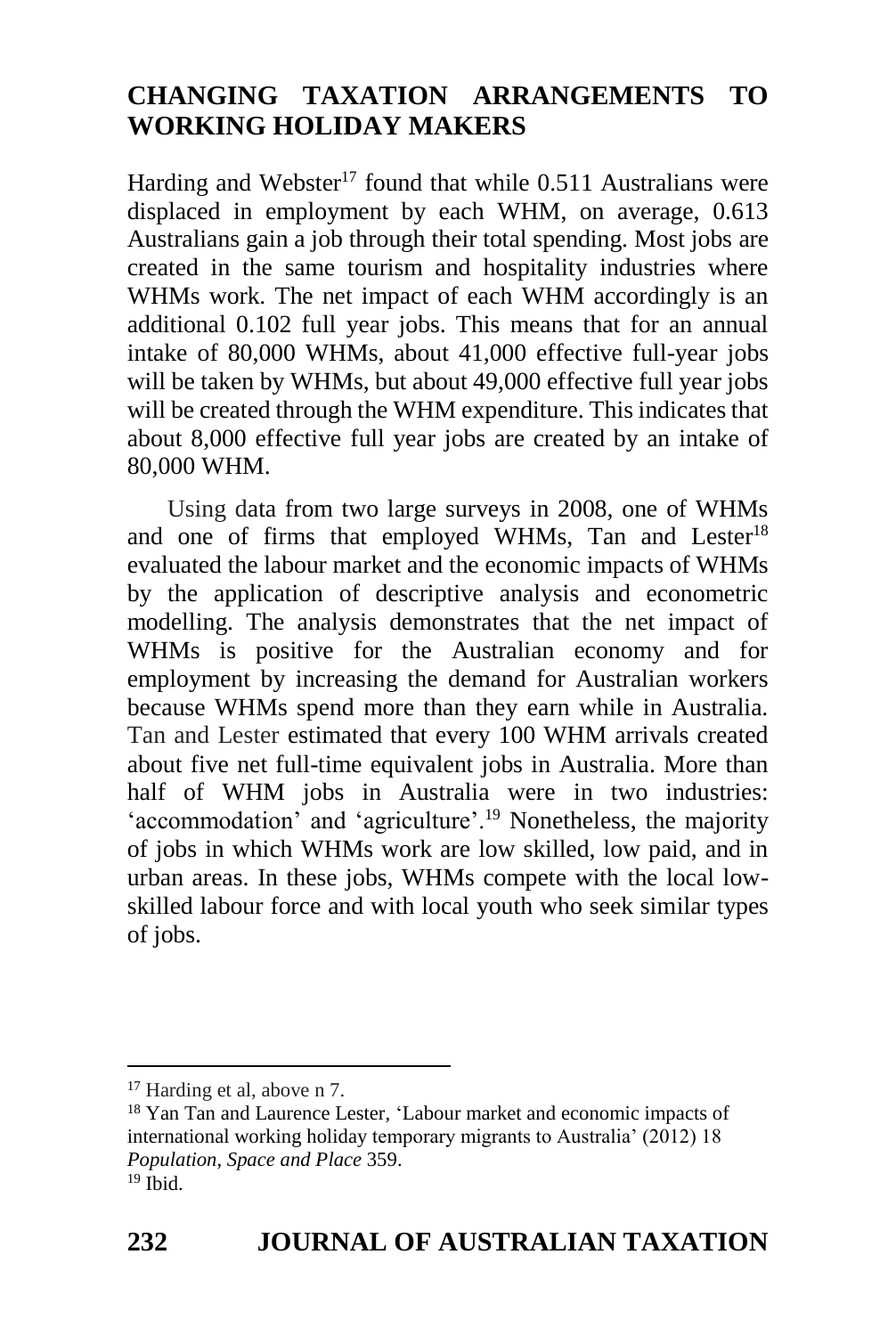Harding and Webster<sup>17</sup> found that while  $0.511$  Australians were displaced in employment by each WHM, on average, 0.613 Australians gain a job through their total spending. Most jobs are created in the same tourism and hospitality industries where WHMs work. The net impact of each WHM accordingly is an additional 0.102 full year jobs. This means that for an annual intake of 80,000 WHMs, about 41,000 effective full-year jobs will be taken by WHMs, but about 49,000 effective full year jobs will be created through the WHM expenditure. This indicates that about 8,000 effective full year jobs are created by an intake of 80,000 WHM.

Using data from two large surveys in 2008, one of WHMs and one of firms that employed WHMs, Tan and Lester<sup>18</sup> evaluated the labour market and the economic impacts of WHMs by the application of descriptive analysis and econometric modelling. The analysis demonstrates that the net impact of WHMs is positive for the Australian economy and for employment by increasing the demand for Australian workers because WHMs spend more than they earn while in Australia. Tan and Lester estimated that every 100 WHM arrivals created about five net full-time equivalent jobs in Australia. More than half of WHM jobs in Australia were in two industries: 'accommodation' and 'agriculture'.<sup>19</sup> Nonetheless, the majority of jobs in which WHMs work are low skilled, low paid, and in urban areas. In these jobs, WHMs compete with the local lowskilled labour force and with local youth who seek similar types of jobs.

<sup>17</sup> Harding et al, above n 7.

<sup>&</sup>lt;sup>18</sup> Yan Tan and Laurence Lester, 'Labour market and economic impacts of international working holiday temporary migrants to Australia' (2012) 18 *Population, Space and Place* 359.  $19$  Ibid.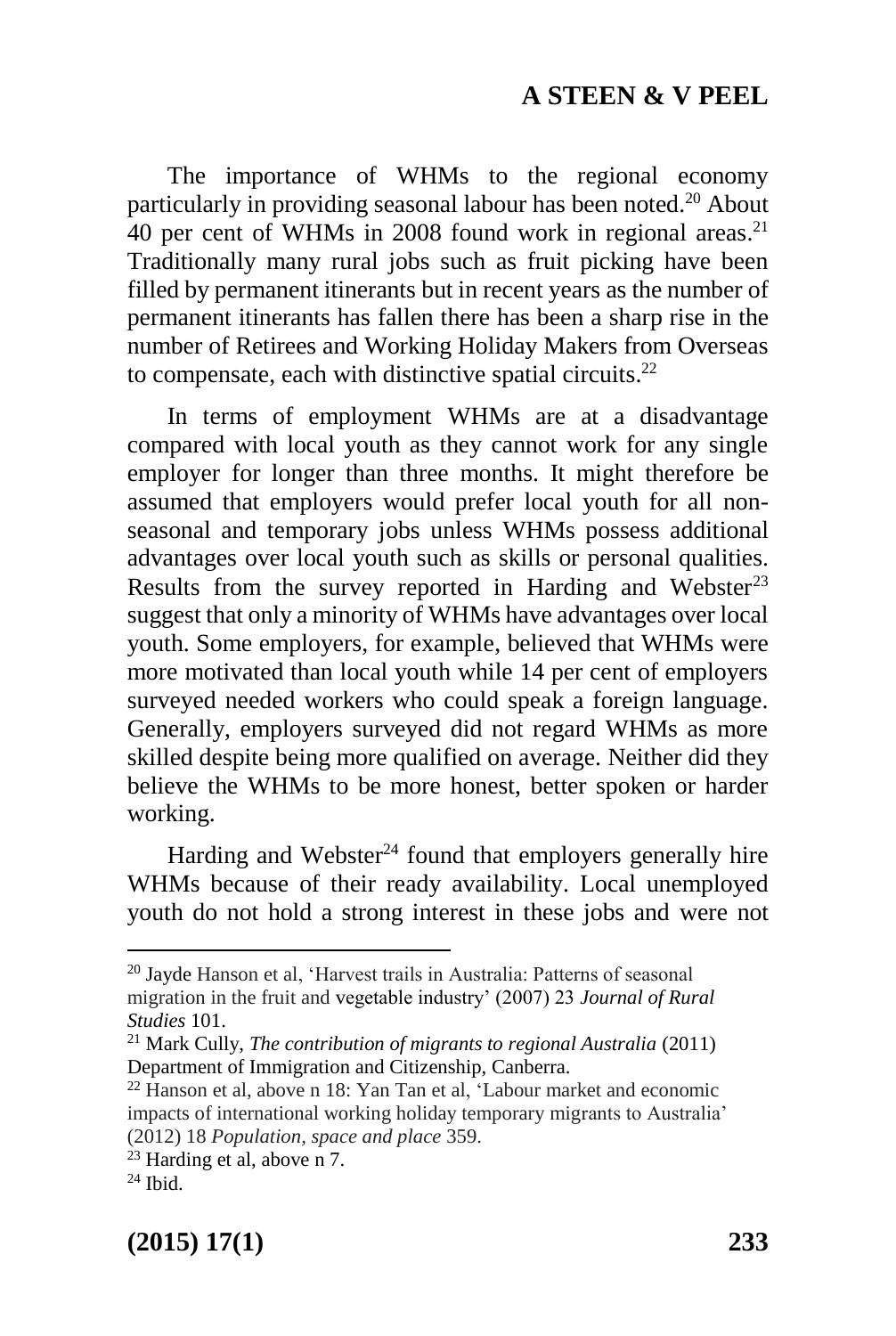The importance of WHMs to the regional economy particularly in providing seasonal labour has been noted. <sup>20</sup> About 40 per cent of WHMs in 2008 found work in regional areas. 21 Traditionally many rural jobs such as fruit picking have been filled by permanent itinerants but in recent years as the number of permanent itinerants has fallen there has been a sharp rise in the number of Retirees and Working Holiday Makers from Overseas to compensate, each with distinctive spatial circuits.<sup>22</sup>

In terms of employment WHMs are at a disadvantage compared with local youth as they cannot work for any single employer for longer than three months. It might therefore be assumed that employers would prefer local youth for all nonseasonal and temporary jobs unless WHMs possess additional advantages over local youth such as skills or personal qualities. Results from the survey reported in Harding and Webster<sup>23</sup> suggest that only a minority of WHMs have advantages over local youth. Some employers, for example, believed that WHMs were more motivated than local youth while 14 per cent of employers surveyed needed workers who could speak a foreign language. Generally, employers surveyed did not regard WHMs as more skilled despite being more qualified on average. Neither did they believe the WHMs to be more honest, better spoken or harder working.

Harding and Webster<sup>24</sup> found that employers generally hire WHMs because of their ready availability. Local unemployed youth do not hold a strong interest in these jobs and were not

-

<sup>20</sup> Jayde Hanson et al, 'Harvest trails in Australia: Patterns of seasonal migration in the fruit and vegetable industry' (2007) 23 *Journal of Rural Studies* 101.

<sup>21</sup> Mark Cully, *The contribution of migrants to regional Australia* (2011) Department of Immigration and Citizenship, Canberra.

<sup>22</sup> Hanson et al, above n 18: Yan Tan et al, 'Labour market and economic impacts of international working holiday temporary migrants to Australia' (2012) 18 *Population, space and place* 359.

<sup>23</sup> Harding et al, above n 7.

 $24$  Ibid.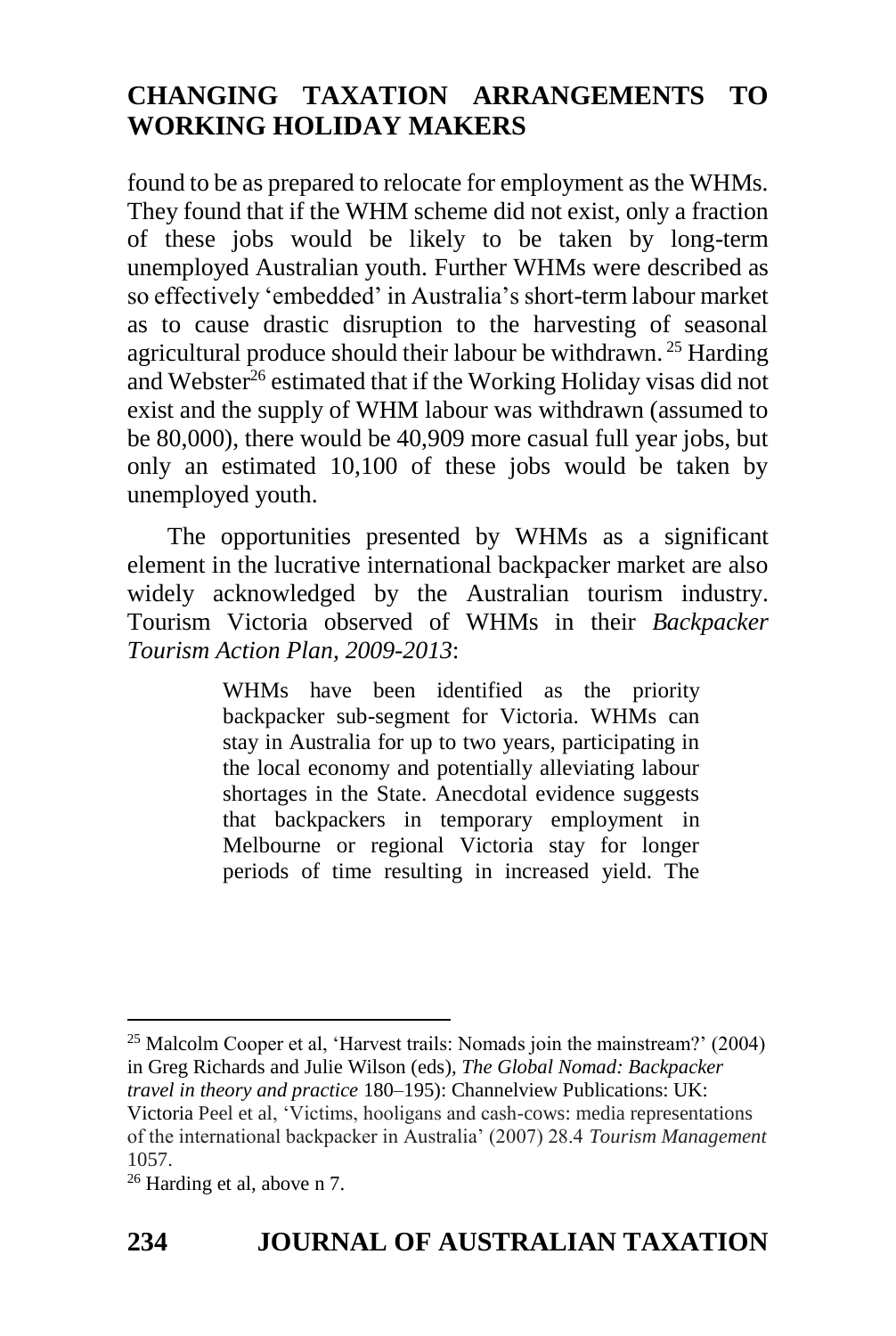found to be as prepared to relocate for employment as the WHMs. They found that if the WHM scheme did not exist, only a fraction of these jobs would be likely to be taken by long-term unemployed Australian youth. Further WHMs were described as so effectively 'embedded' in Australia's short-term labour market as to cause drastic disruption to the harvesting of seasonal agricultural produce should their labour be withdrawn. <sup>25</sup> Harding and Webster<sup>26</sup> estimated that if the Working Holiday visas did not exist and the supply of WHM labour was withdrawn (assumed to be 80,000), there would be 40,909 more casual full year jobs, but only an estimated 10,100 of these jobs would be taken by unemployed youth.

The opportunities presented by WHMs as a significant element in the lucrative international backpacker market are also widely acknowledged by the Australian tourism industry. Tourism Victoria observed of WHMs in their *Backpacker Tourism Action Plan, 2009-2013*:

> WHMs have been identified as the priority backpacker sub-segment for Victoria. WHMs can stay in Australia for up to two years, participating in the local economy and potentially alleviating labour shortages in the State. Anecdotal evidence suggests that backpackers in temporary employment in Melbourne or regional Victoria stay for longer periods of time resulting in increased yield. The

1 <sup>25</sup> Malcolm Cooper et al, 'Harvest trails: Nomads join the mainstream?' (2004) in Greg Richards and Julie Wilson (eds), *The Global Nomad: Backpacker travel in theory and practice* 180–195): Channelview Publications: UK: Victoria Peel et al, 'Victims, hooligans and cash-cows: media representations of the international backpacker in Australia' (2007) 28.4 *Tourism Management* 1057.

<sup>26</sup> Harding et al, above n 7.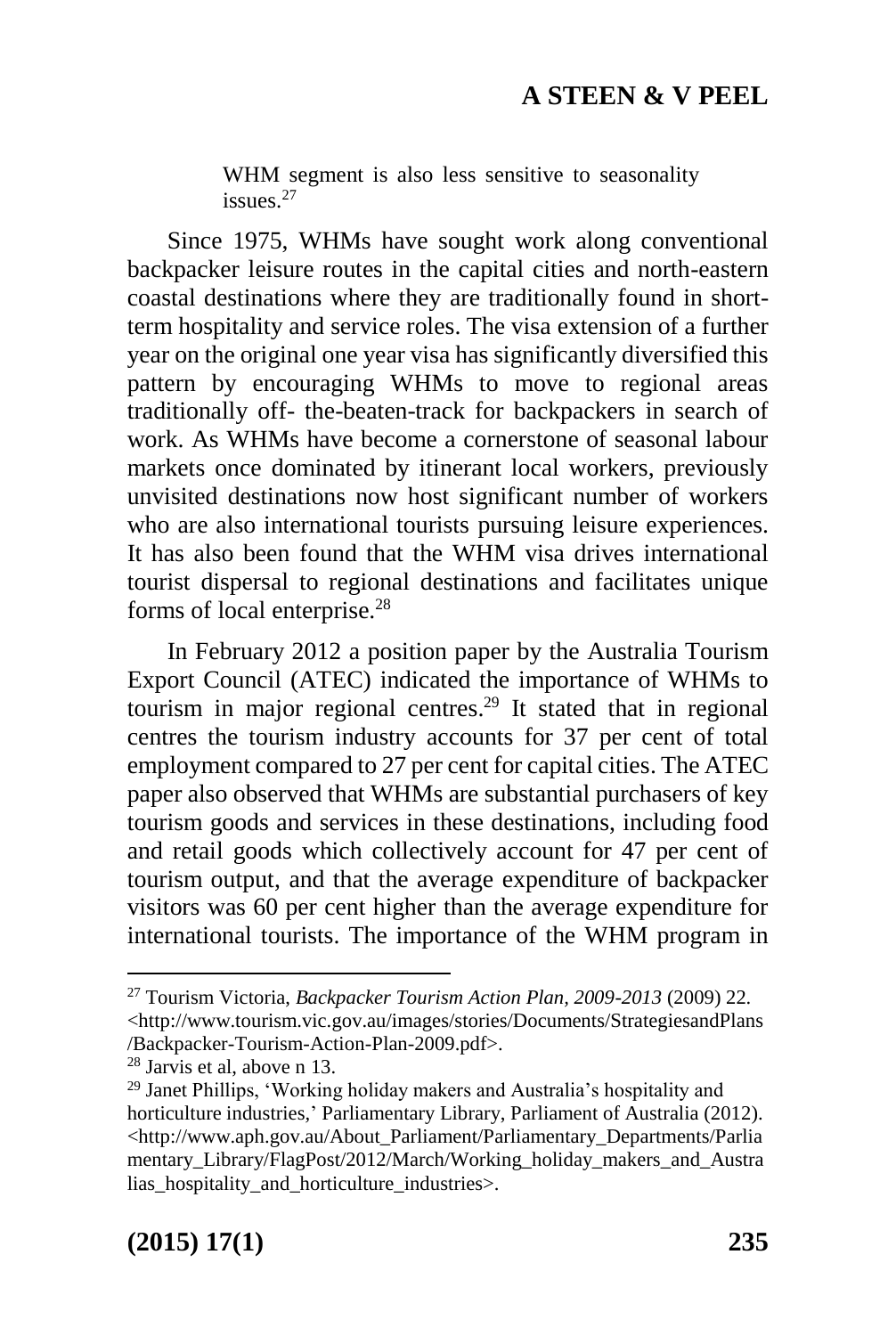WHM segment is also less sensitive to seasonality issues<sup>27</sup>

Since 1975, WHMs have sought work along conventional backpacker leisure routes in the capital cities and north-eastern coastal destinations where they are traditionally found in shortterm hospitality and service roles. The visa extension of a further year on the original one year visa has significantly diversified this pattern by encouraging WHMs to move to regional areas traditionally off- the-beaten-track for backpackers in search of work. As WHMs have become a cornerstone of seasonal labour markets once dominated by itinerant local workers, previously unvisited destinations now host significant number of workers who are also international tourists pursuing leisure experiences. It has also been found that the WHM visa drives international tourist dispersal to regional destinations and facilitates unique forms of local enterprise.<sup>28</sup>

In February 2012 a position paper by the Australia Tourism Export Council (ATEC) indicated the importance of WHMs to tourism in major regional centres. <sup>29</sup> It stated that in regional centres the tourism industry accounts for 37 per cent of total employment compared to 27 per cent for capital cities. The ATEC paper also observed that WHMs are substantial purchasers of key tourism goods and services in these destinations, including food and retail goods which collectively account for 47 per cent of tourism output, and that the average expenditure of backpacker visitors was 60 per cent higher than the average expenditure for international tourists. The importance of the WHM program in

1

<sup>27</sup> Tourism Victoria, *Backpacker Tourism Action Plan, 2009-2013* (2009) 22. <http://www.tourism.vic.gov.au/images/stories/Documents/StrategiesandPlans /Backpacker-Tourism-Action-Plan-2009.pdf>.

<sup>28</sup> Jarvis et al, above n 13.

<sup>29</sup> Janet Phillips, 'Working holiday makers and Australia's hospitality and horticulture industries*,*' Parliamentary Library, Parliament of Australia (2012). <http://www.aph.gov.au/About\_Parliament/Parliamentary\_Departments/Parlia mentary\_Library/FlagPost/2012/March/Working\_holiday\_makers\_and\_Austra lias\_hospitality\_and\_horticulture\_industries>.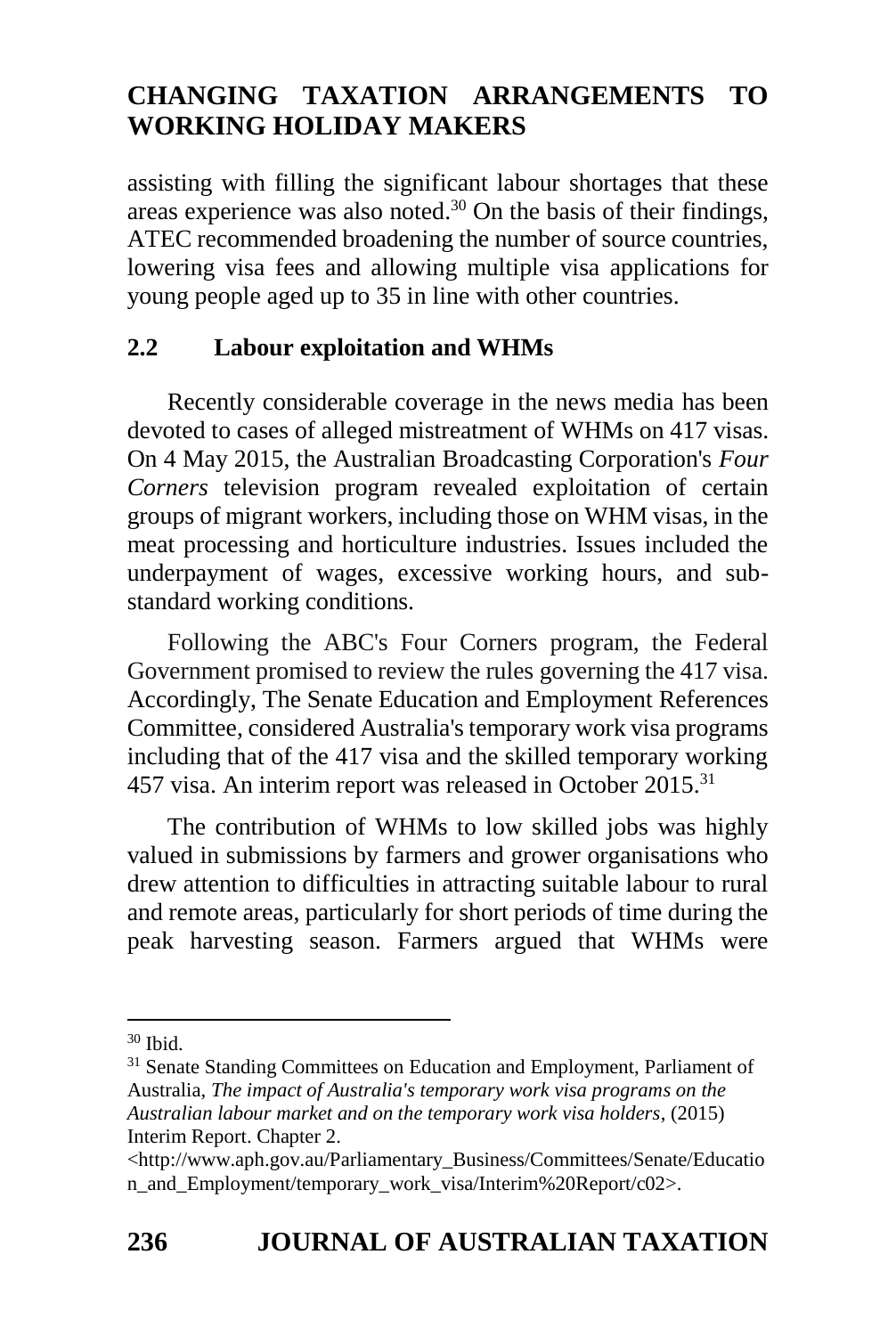assisting with filling the significant labour shortages that these areas experience was also noted. $30$  On the basis of their findings, ATEC recommended broadening the number of source countries, lowering visa fees and allowing multiple visa applications for young people aged up to 35 in line with other countries.

## **2.2 Labour exploitation and WHMs**

Recently considerable coverage in the news media has been devoted to cases of alleged mistreatment of WHMs on 417 visas. On 4 May 2015, the Australian Broadcasting Corporation's *Four Corners* television program revealed exploitation of certain groups of migrant workers, including those on WHM visas, in the meat processing and horticulture industries. Issues included the underpayment of wages, excessive working hours, and substandard working conditions.

Following the ABC's Four Corners program, the Federal Government promised to review the rules governing the 417 visa. Accordingly, The Senate Education and Employment References Committee, considered Australia's temporary work visa programs including that of the 417 visa and the skilled temporary working 457 visa. An interim report was released in October 2015.<sup>31</sup>

The contribution of WHMs to low skilled jobs was highly valued in submissions by farmers and grower organisations who drew attention to difficulties in attracting suitable labour to rural and remote areas, particularly for short periods of time during the peak harvesting season. Farmers argued that WHMs were

<sup>1</sup>  $30$  Ibid.

<sup>&</sup>lt;sup>31</sup> Senate Standing Committees on Education and Employment, Parliament of Australia, *[The impact of Australia's temporary work visa programs on the](http://www.aph.gov.au/Parliamentary_Business/Committees/Senate/Education_and_Employment/temporary_work_visa)  [Australian labour market and on the temporary work visa holders](http://www.aph.gov.au/Parliamentary_Business/Committees/Senate/Education_and_Employment/temporary_work_visa)*, (2015) [Interim Report.](http://www.aph.gov.au/Parliamentary_Business/Committees/Senate/Education_and_Employment/temporary_work_visa/Interim_Report) Chapter 2.

<sup>&</sup>lt;http://www.aph.gov.au/Parliamentary\_Business/Committees/Senate/Educatio n\_and\_Employment/temporary\_work\_visa/Interim%20Report/c02>.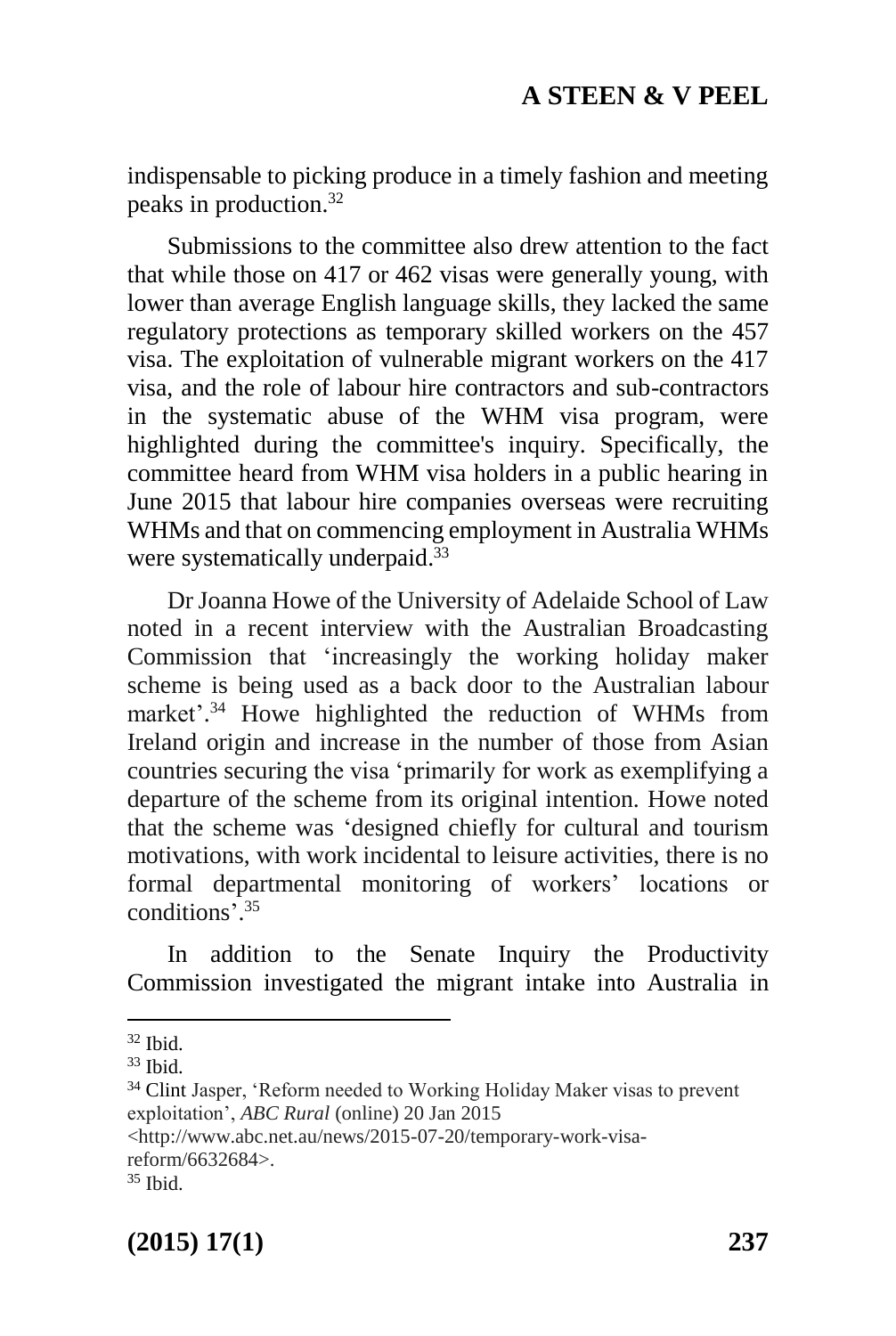indispensable to picking produce in a timely fashion and meeting peaks in production. 32

Submissions to the committee also drew attention to the fact that while those on 417 or 462 visas were generally young, with lower than average English language skills, they lacked the same regulatory protections as temporary skilled workers on the 457 visa. The exploitation of vulnerable migrant workers on the 417 visa, and the role of labour hire contractors and sub-contractors in the systematic abuse of the WHM visa program, were highlighted during the committee's inquiry. Specifically, the committee heard from WHM visa holders in a public hearing in June 2015 that labour hire companies overseas were recruiting WHMs and that on commencing employment in Australia WHMs were systematically underpaid.<sup>33</sup>

Dr Joanna Howe of the University of Adelaide School of Law noted in a recent interview with the Australian Broadcasting Commission that 'increasingly the working holiday maker scheme is being used as a back door to the Australian labour market'.<sup>34</sup> Howe highlighted the reduction of WHMs from Ireland origin and increase in the number of those from Asian countries securing the visa 'primarily for work as exemplifying a departure of the scheme from its original intention. Howe noted that the scheme was 'designed chiefly for cultural and tourism motivations, with work incidental to leisure activities, there is no formal departmental monitoring of workers' locations or conditions'. 35

In addition to the Senate Inquiry the Productivity Commission investigated the migrant intake into Australia in

1

<http://www.abc.net.au/news/2015-07-20/temporary-work-visareform/6632684>.

**(2015) 17(1) 237**

 $32$  Ihid.

 $33$  Ibid.

<sup>34</sup> Clint Jasper, 'Reform needed to Working Holiday Maker visas to prevent exploitation', *ABC Rural* (online) 20 Jan 2015

<sup>35</sup> Ibid.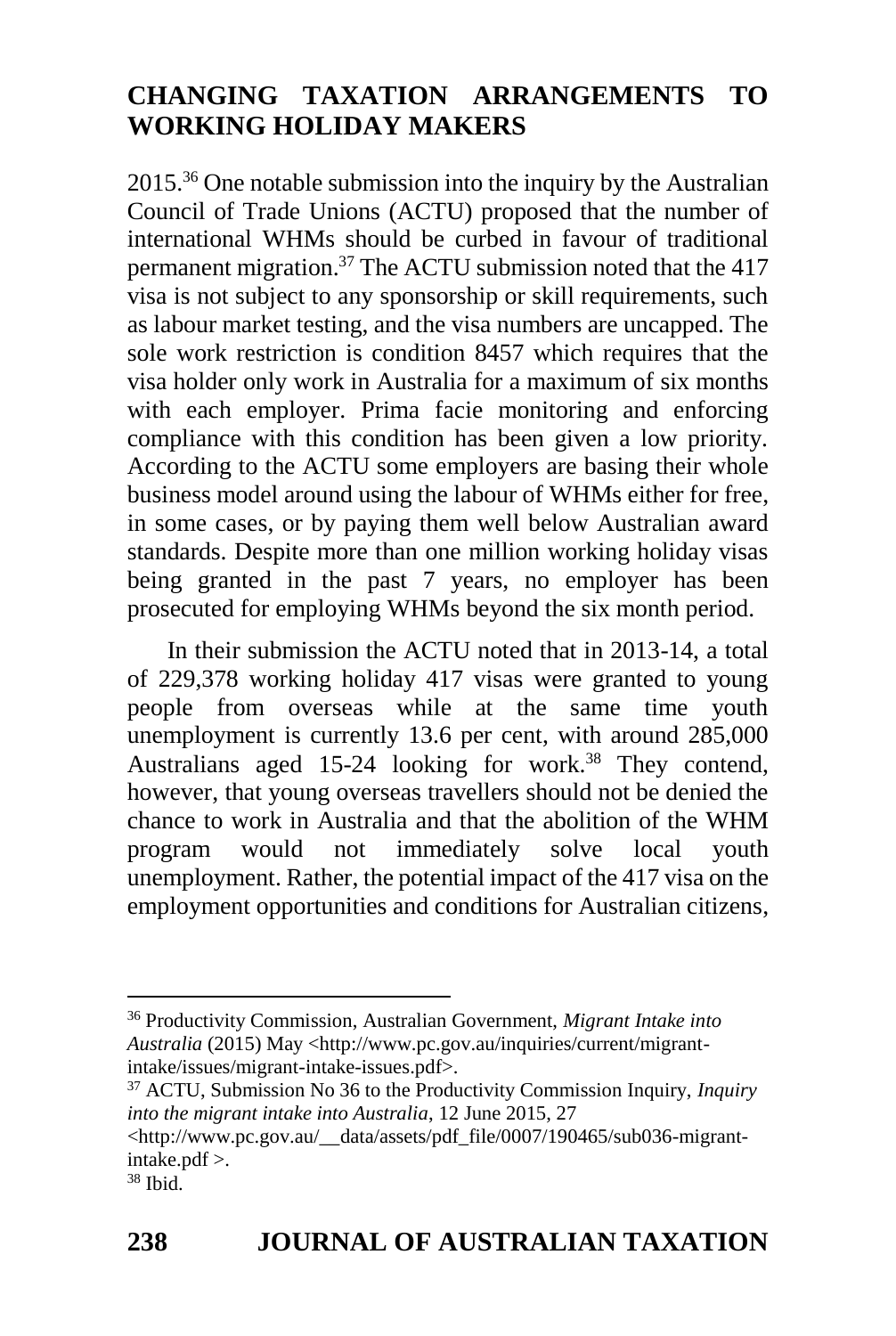2015. <sup>36</sup> One notable submission into the inquiry by the Australian Council of Trade Unions (ACTU) proposed that the number of international WHMs should be curbed in favour of traditional permanent migration. <sup>37</sup> The ACTU submission noted that the 417 visa is not subject to any sponsorship or skill requirements, such as labour market testing, and the visa numbers are uncapped. The sole work restriction is condition 8457 which requires that the visa holder only work in Australia for a maximum of six months with each employer. Prima facie monitoring and enforcing compliance with this condition has been given a low priority. According to the ACTU some employers are basing their whole business model around using the labour of WHMs either for free, in some cases, or by paying them well below Australian award standards. Despite more than one million working holiday visas being granted in the past 7 years, no employer has been prosecuted for employing WHMs beyond the six month period.

In their submission the ACTU noted that in 2013-14, a total of 229,378 working holiday 417 visas were granted to young people from overseas while at the same time youth unemployment is currently 13.6 per cent, with around 285,000 Australians aged 15-24 looking for work. <sup>38</sup> They contend, however, that young overseas travellers should not be denied the chance to work in Australia and that the abolition of the WHM program would not immediately solve local youth unemployment. Rather, the potential impact of the 417 visa on the employment opportunities and conditions for Australian citizens,

<sup>36</sup> Productivity Commission, Australian Government, *Migrant Intake into Australia* (2015) May <http://www.pc.gov.au/inquiries/current/migrantintake/issues/migrant-intake-issues.pdf>.

<sup>37</sup> ACTU, Submission No 36 to the Productivity Commission Inquiry, *Inquiry into the migrant intake into Australia*, 12 June 2015, 27

<sup>&</sup>lt;http://www.pc.gov.au/\_\_data/assets/pdf\_file/0007/190465/sub036-migrantintake.pdf >.

 $38$  Ibid.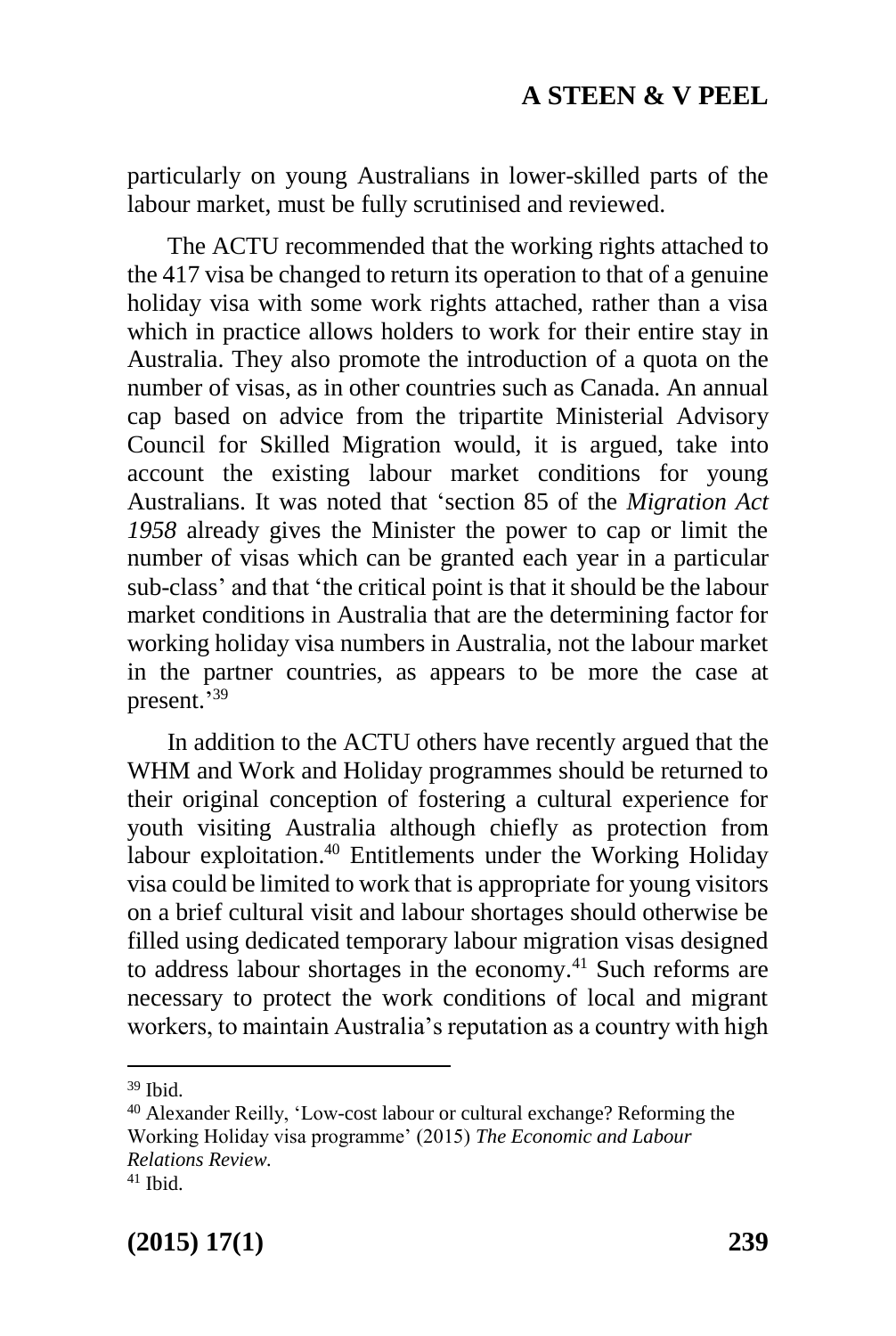particularly on young Australians in lower-skilled parts of the labour market, must be fully scrutinised and reviewed.

The ACTU recommended that the working rights attached to the 417 visa be changed to return its operation to that of a genuine holiday visa with some work rights attached, rather than a visa which in practice allows holders to work for their entire stay in Australia. They also promote the introduction of a quota on the number of visas, as in other countries such as Canada. An annual cap based on advice from the tripartite Ministerial Advisory Council for Skilled Migration would, it is argued, take into account the existing labour market conditions for young Australians. It was noted that 'section 85 of the *Migration Act 1958* already gives the Minister the power to cap or limit the number of visas which can be granted each year in a particular sub-class' and that 'the critical point is that it should be the labour market conditions in Australia that are the determining factor for working holiday visa numbers in Australia, not the labour market in the partner countries, as appears to be more the case at present.' 39

In addition to the ACTU others have recently argued that the WHM and Work and Holiday programmes should be returned to their original conception of fostering a cultural experience for youth visiting Australia although chiefly as protection from labour exploitation.<sup>40</sup> Entitlements under the Working Holiday visa could be limited to work that is appropriate for young visitors on a brief cultural visit and labour shortages should otherwise be filled using dedicated temporary labour migration visas designed to address labour shortages in the economy. <sup>41</sup> Such reforms are necessary to protect the work conditions of local and migrant workers, to maintain Australia's reputation as a country with high

<sup>39</sup> Ibid.

<sup>40</sup> Alexander Reilly, 'Low-cost labour or cultural exchange? Reforming the Working Holiday visa programme' (2015) *The Economic and Labour Relations Review.*

 $41$  Ibid.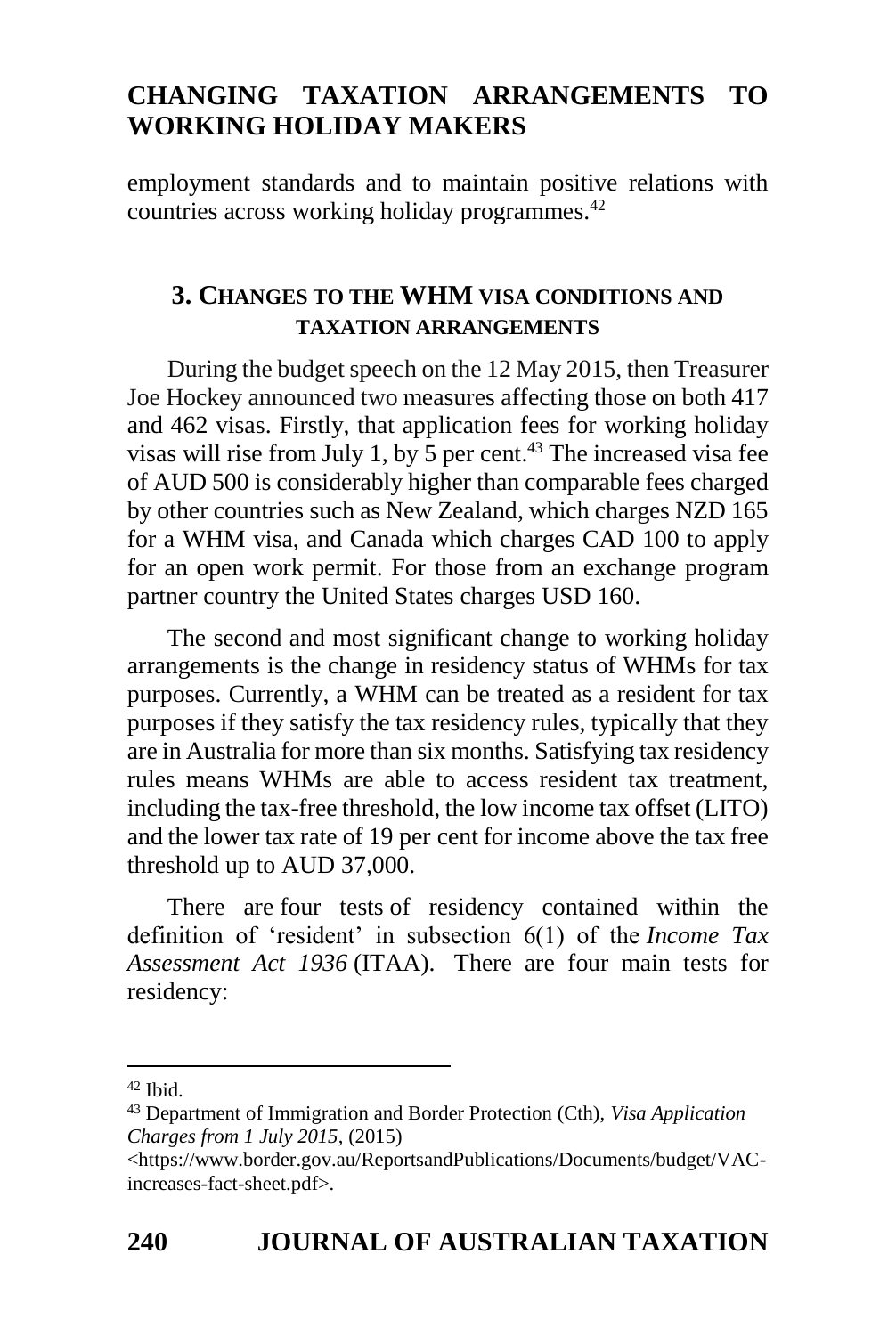employment standards and to maintain positive relations with countries across working holiday programmes. 42

## **3. CHANGES TO THE WHM VISA CONDITIONS AND TAXATION ARRANGEMENTS**

During the budget speech on the 12 May 2015, then Treasurer Joe Hockey announced two measures affecting those on both 417 and 462 visas. Firstly, that application fees for working holiday visas will rise from July 1, by 5 per cent. <sup>43</sup> The increased visa fee of AUD 500 is considerably higher than comparable fees charged by other countries such as New Zealand, which charges NZD 165 for a WHM visa, and Canada which charges CAD 100 to apply for an open work permit. For those from an exchange program partner country the United States charges USD 160.

The second and most significant change to working holiday arrangements is the change in residency status of WHMs for tax purposes. Currently, a WHM can be treated as a resident for tax purposes if they satisfy the tax residency rules, typically that they are in Australia for more than six months. Satisfying tax residency rules means WHMs are able to access resident tax treatment, including the tax-free threshold, the low income tax offset (LITO) and the lower tax rate of 19 per cent for income above the tax free threshold up to AUD 37,000.

There are four tests of residency contained within the definition of 'resident' in subsection 6(1) of the *Income Tax Assessment Act 1936* (ITAA). There are four main tests for residency:

<sup>42</sup> Ibid.

<sup>43</sup> Department of Immigration and Border Protection (Cth), *Visa Application Charges from 1 July 2015*, (2015)

<sup>&</sup>lt;https://www.border.gov.au/ReportsandPublications/Documents/budget/VACincreases-fact-sheet.pdf>.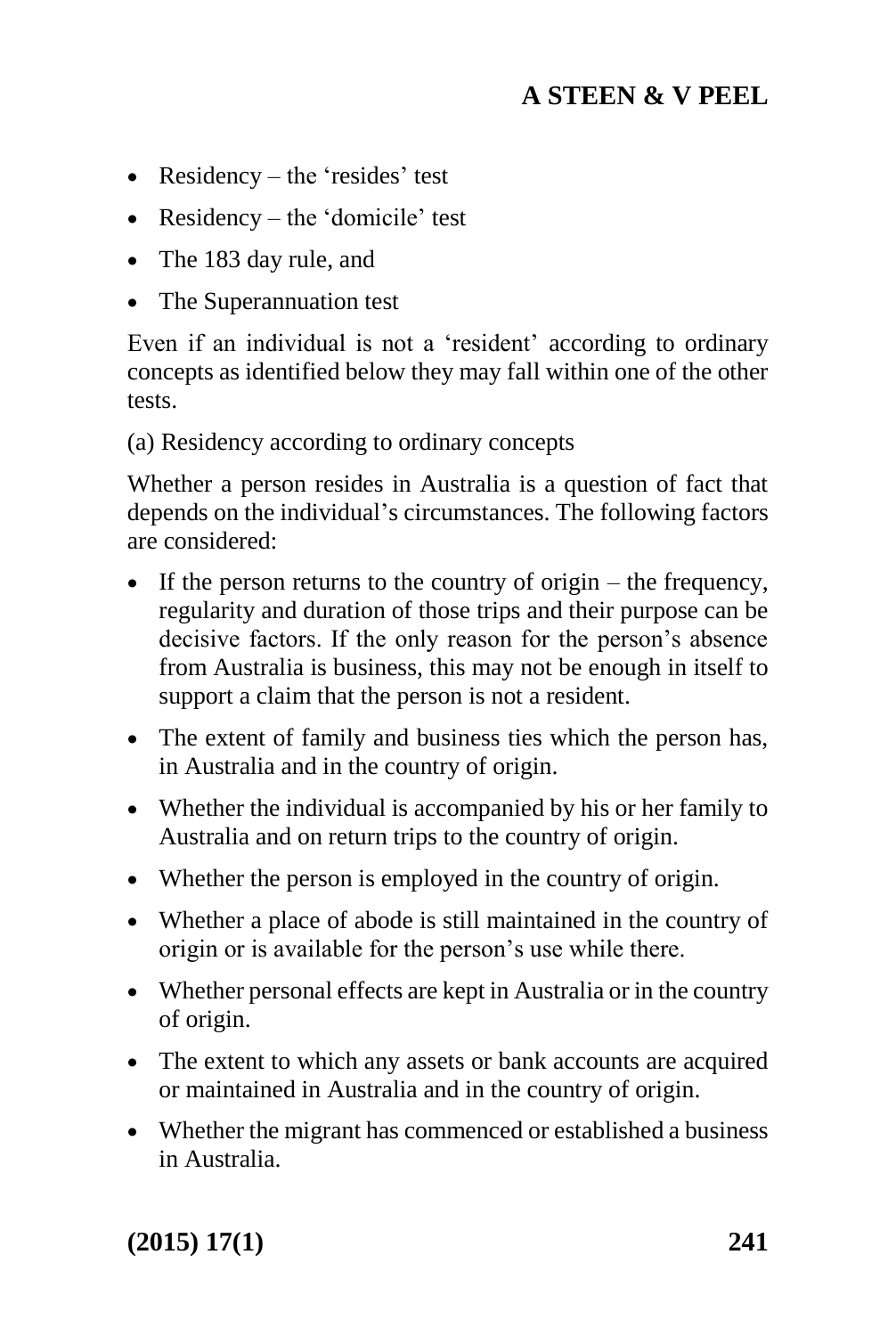- Residency the 'resides' test
- Residency the 'domicile' test
- The 183 day rule, and
- The Superannuation test

Even if an individual is not a 'resident' according to ordinary concepts as identified below they may fall within one of the other tests.

(a) Residency according to ordinary concepts

Whether a person resides in Australia is a question of fact that depends on the individual's circumstances. The following factors are considered:

- If the person returns to the country of origin the frequency, regularity and duration of those trips and their purpose can be decisive factors. If the only reason for the person's absence from Australia is business, this may not be enough in itself to support a claim that the person is not a resident.
- The extent of family and business ties which the person has, in Australia and in the country of origin.
- Whether the individual is accompanied by his or her family to Australia and on return trips to the country of origin.
- Whether the person is employed in the country of origin.
- Whether a place of abode is still maintained in the country of origin or is available for the person's use while there.
- Whether personal effects are kept in Australia or in the country of origin.
- The extent to which any assets or bank accounts are acquired or maintained in Australia and in the country of origin.
- Whether the migrant has commenced or established a business in Australia.

**(2015) 17(1) 241**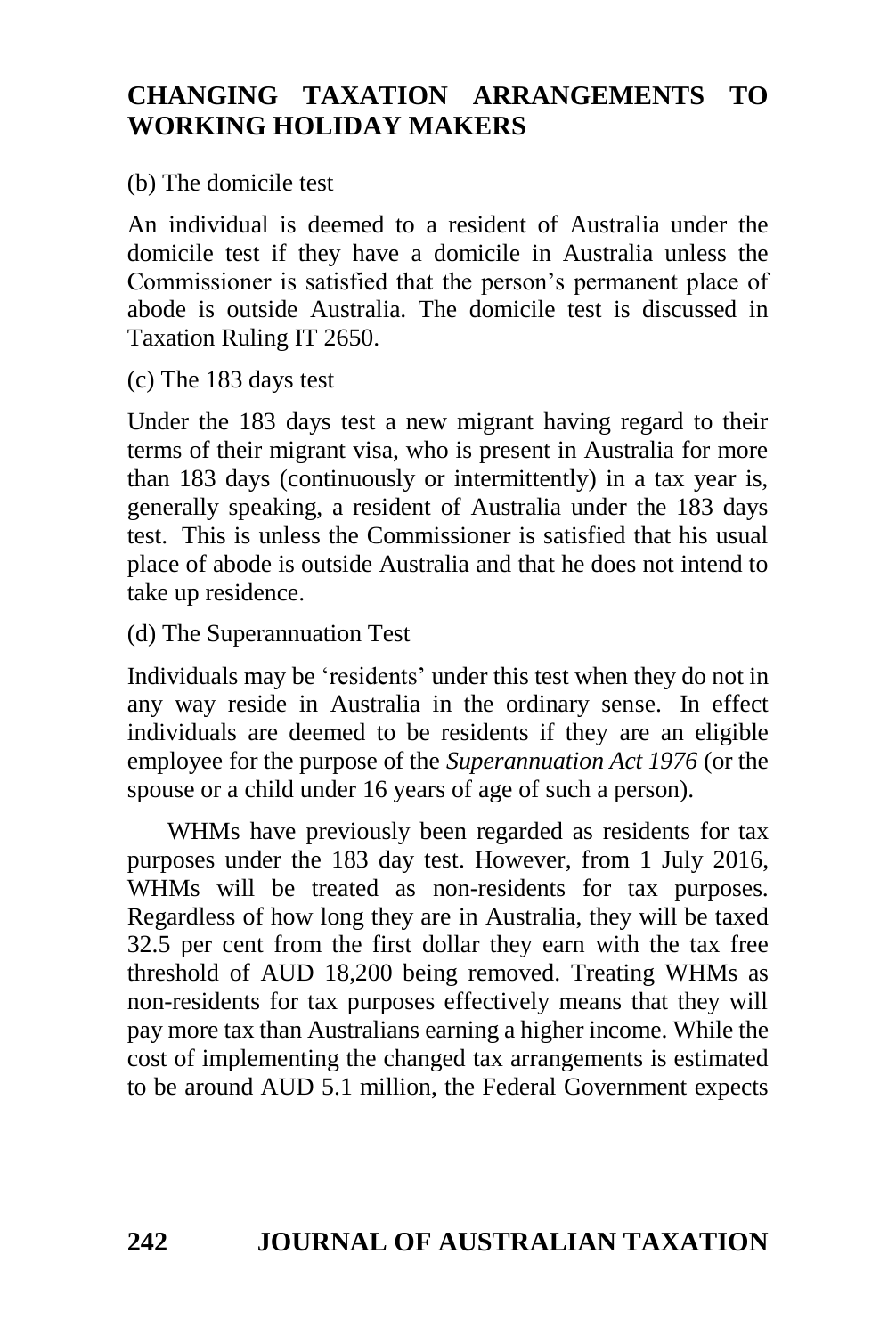(b) The domicile test

An individual is deemed to a resident of Australia under the domicile test if they have a domicile in Australia unless the Commissioner is satisfied that the person's permanent place of abode is outside Australia. The domicile test is discussed in Taxation Ruling IT 2650.

(c) The 183 days test

Under the 183 days test a new migrant having regard to their terms of their migrant visa, who is present in Australia for more than 183 days (continuously or intermittently) in a tax year is, generally speaking, a resident of Australia under the 183 days test. This is unless the Commissioner is satisfied that his usual place of abode is outside Australia and that he does not intend to take up residence.

(d) The Superannuation Test

Individuals may be 'residents' under this test when they do not in any way reside in Australia in the ordinary sense. In effect individuals are deemed to be residents if they are an eligible employee for the purpose of the *Superannuation Act 1976* (or the spouse or a child under 16 years of age of such a person).

WHMs have previously been regarded as residents for tax purposes under the 183 day test. However, from 1 July 2016, WHMs will be treated as non-residents for tax purposes. Regardless of how long they are in Australia, they will be taxed 32.5 per cent from the first dollar they earn with the tax free threshold of AUD 18,200 being removed. Treating WHMs as non-residents for tax purposes effectively means that they will pay more tax than Australians earning a higher income. While the cost of implementing the changed tax arrangements is estimated to be around AUD 5.1 million, the Federal Government expects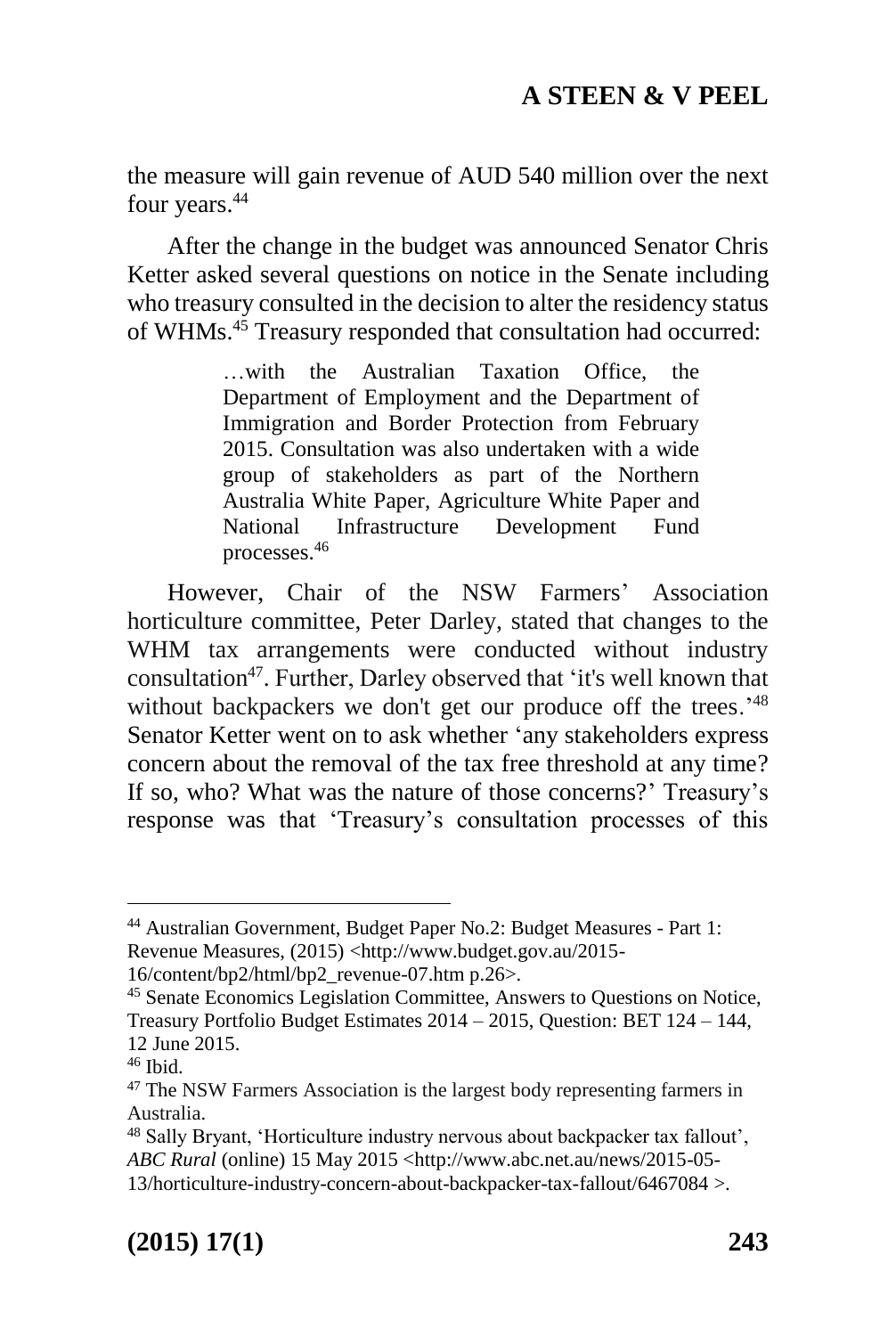the measure will gain revenue of AUD 540 million over the next four years.<sup>44</sup>

After the change in the budget was announced Senator Chris Ketter asked several questions on notice in the Senate including who treasury consulted in the decision to alter the residency status of WHMs. <sup>45</sup> Treasury responded that consultation had occurred:

> …with the Australian Taxation Office, the Department of Employment and the Department of Immigration and Border Protection from February 2015. Consultation was also undertaken with a wide group of stakeholders as part of the Northern Australia White Paper, Agriculture White Paper and National Infrastructure Development Fund processes.<sup>46</sup>

However, Chair of the NSW Farmers' Association horticulture committee, Peter Darley, stated that changes to the WHM tax arrangements were conducted without industry consultation<sup>47</sup>. Further, Darley observed that 'it's well known that without backpackers we don't get our produce off the trees.<sup>18</sup> Senator Ketter went on to ask whether 'any stakeholders express concern about the removal of the tax free threshold at any time? If so, who? What was the nature of those concerns?' Treasury's response was that 'Treasury's consultation processes of this

-

<sup>44</sup> Australian Government, Budget Paper No.2: Budget Measures - Part 1: Revenue Measures, (2015) <http://www.budget.gov.au/2015-

<sup>16/</sup>content/bp2/html/bp2\_revenue-07.htm p.26>.

<sup>45</sup> Senate Economics Legislation Committee, Answers to Questions on Notice, Treasury Portfolio Budget Estimates 2014 – 2015, Question: BET 124 – 144, 12 June 2015.

 $46$  Ibid.

<sup>47</sup> The NSW Farmers Association is the largest body representing farmers in Australia.

<sup>48</sup> Sally Bryant, 'Horticulture industry nervous about backpacker tax fallout', *ABC Rural* (online) 15 May 2015 [<http://www.abc.net.au/news/2015-05-](http://www.abc.net.au/news/2015-05-13/horticulture-industry-concern-about-backpacker-tax-fallout/6467084) [13/horticulture-industry-concern-about-backpacker-tax-fallout/6467084 >](http://www.abc.net.au/news/2015-05-13/horticulture-industry-concern-about-backpacker-tax-fallout/6467084).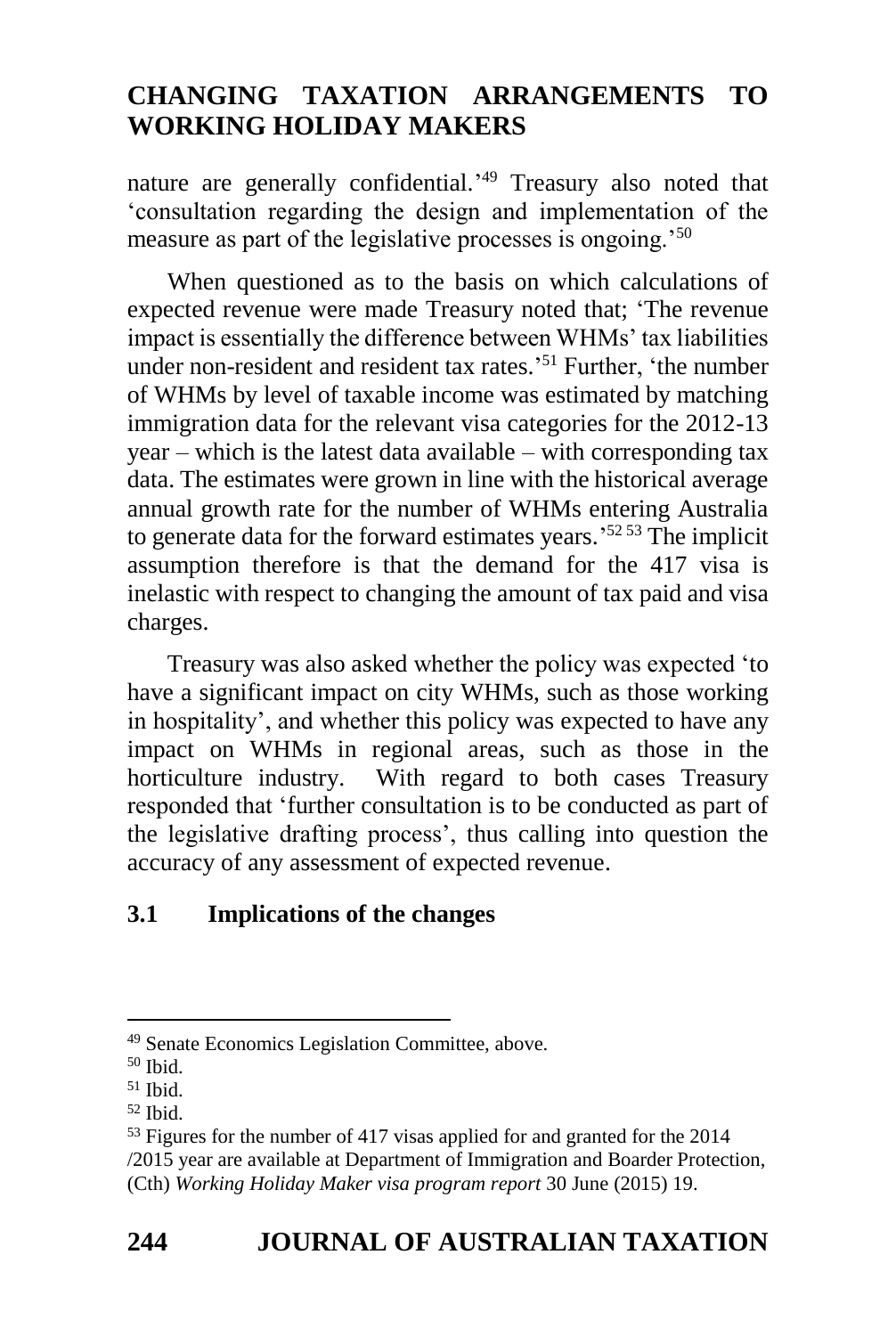nature are generally confidential.<sup>49</sup> Treasury also noted that 'consultation regarding the design and implementation of the measure as part of the legislative processes is ongoing.'<sup>50</sup>

When questioned as to the basis on which calculations of expected revenue were made Treasury noted that; 'The revenue impact is essentially the difference between WHMs' tax liabilities under non-resident and resident tax rates.' <sup>51</sup> Further, 'the number of WHMs by level of taxable income was estimated by matching immigration data for the relevant visa categories for the 2012-13 year – which is the latest data available – with corresponding tax data. The estimates were grown in line with the historical average annual growth rate for the number of WHMs entering Australia to generate data for the forward estimates years.<sup>5253</sup> The implicit assumption therefore is that the demand for the 417 visa is inelastic with respect to changing the amount of tax paid and visa charges.

Treasury was also asked whether the policy was expected 'to have a significant impact on city WHMs, such as those working in hospitality', and whether this policy was expected to have any impact on WHMs in regional areas, such as those in the horticulture industry. With regard to both cases Treasury responded that 'further consultation is to be conducted as part of the legislative drafting process', thus calling into question the accuracy of any assessment of expected revenue.

## **3.1 Implications of the changes**

1

<sup>49</sup> Senate Economics Legislation Committee, above.

<sup>50</sup> Ibid.

 $51$  Ibid.

 $52$  Ibid.

<sup>53</sup> Figures for the number of 417 visas applied for and granted for the 2014 /2015 year are available at Department of Immigration and Boarder Protection, (Cth) *Working Holiday Maker visa program report* 30 June (2015) 19.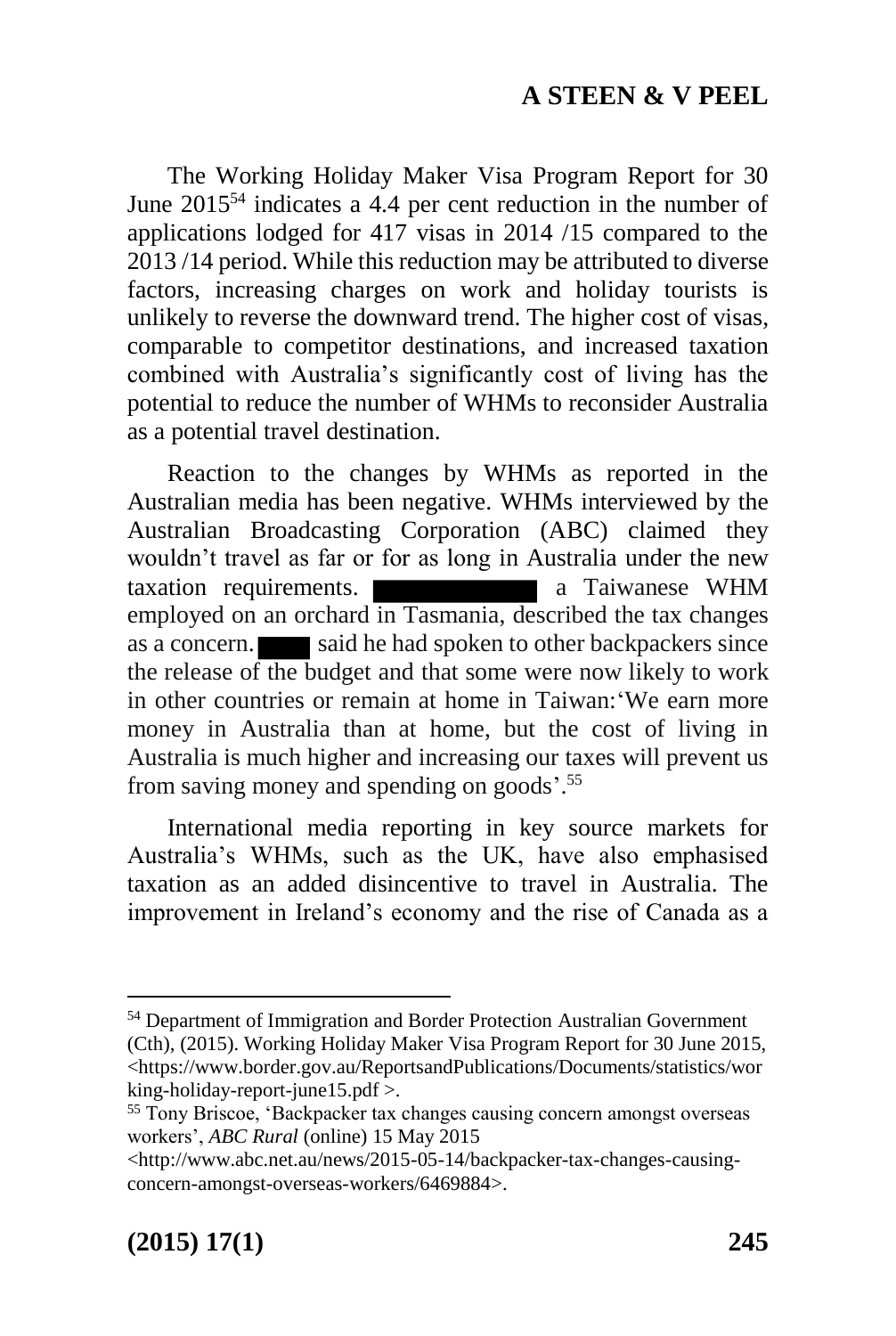The Working Holiday Maker Visa Program Report for 30 June 2015<sup>54</sup> indicates a 4.4 per cent reduction in the number of applications lodged for 417 visas in 2014 /15 compared to the 2013 /14 period. While this reduction may be attributed to diverse factors, increasing charges on work and holiday tourists is unlikely to reverse the downward trend. The higher cost of visas, comparable to competitor destinations, and increased taxation combined with Australia's significantly cost of living has the potential to reduce the number of WHMs to reconsider Australia as a potential travel destination.

Reaction to the changes by WHMs as reported in the Australian media has been negative. WHMs interviewed by the Australian Broadcasting Corporation (ABC) claimed they wouldn't travel as far or for as long in Australia under the new taxation requirements. **a** Taiwanese WHM employed on an orchard in Tasmania, described the tax changes as a concern. said he had spoken to other backpackers since the release of the budget and that some were now likely to work in other countries or remain at home in Taiwan:'We earn more money in Australia than at home, but the cost of living in Australia is much higher and increasing our taxes will prevent us from saving money and spending on goods'.<sup>55</sup>

International media reporting in key source markets for Australia's WHMs, such as the UK, have also emphasised taxation as an added disincentive to travel in Australia. The improvement in Ireland's economy and the rise of Canada as a

<sup>54</sup> Department of Immigration and Border Protection Australian Government (Cth), (2015). Working Holiday Maker Visa Program Report for 30 June 2015, <https://www.border.gov.au/ReportsandPublications/Documents/statistics/wor king-holiday-report-june15.pdf >.

<sup>&</sup>lt;sup>55</sup> Tony Briscoe, 'Backpacker tax changes causing concern amongst overseas workers', *ABC Rural* (online) 15 May 2015

[<sup>&</sup>lt;http://www.abc.net.au/news/2015-05-14/backpacker-tax-changes-causing](http://www.abc.net.au/news/2015-05-14/backpacker-tax-changes-causing-concern-amongst-overseas-workers/6469884)[concern-amongst-overseas-workers/6469884>](http://www.abc.net.au/news/2015-05-14/backpacker-tax-changes-causing-concern-amongst-overseas-workers/6469884).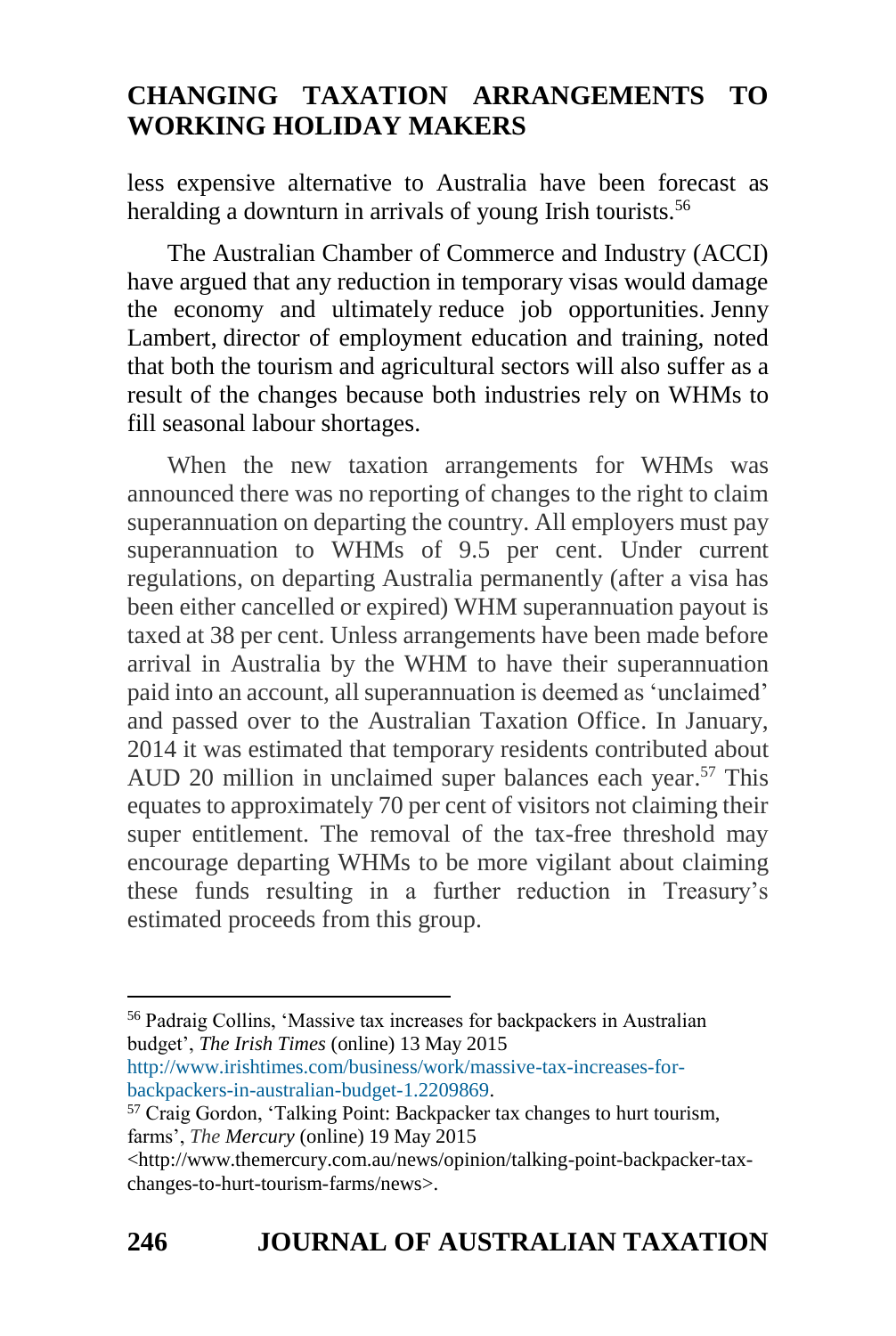less expensive alternative to Australia have been forecast as heralding a downturn in arrivals of young Irish tourists.<sup>56</sup>

The Australian Chamber of Commerce and Industry (ACCI) have argued that any reduction in temporary visas would damage the economy and ultimately reduce job opportunities. Jenny Lambert, director of employment education and training, noted that both the tourism and agricultural sectors will also suffer as a result of the changes because both industries rely on WHMs to fill seasonal labour shortages.

When the new taxation arrangements for WHMs was announced there was no reporting of changes to the right to claim superannuation on departing the country. All employers must pay superannuation to WHMs of 9.5 per cent. Under current regulations, on departing Australia permanently (after a visa has been either cancelled or expired) WHM superannuation payout is taxed at 38 per cent. Unless arrangements have been made before arrival in Australia by the WHM to have their superannuation paid into an account, all superannuation is deemed as 'unclaimed' and passed over to the Australian Taxation Office. In January, 2014 it was estimated that temporary residents contributed about AUD 20 million in unclaimed super balances each year. <sup>57</sup> This equates to approximately 70 per cent of visitors not claiming their super entitlement. The removal of the tax-free threshold may encourage departing WHMs to be more vigilant about claiming these funds resulting in a further reduction in Treasury's estimated proceeds from this group.

<sup>56</sup> Padraig Collins, 'Massive tax increases for backpackers in Australian budget', *The Irish Times* (online) 13 May 2015

[http://www.irishtimes.com/business/work/massive-tax-increases-for](http://www.irishtimes.com/business/work/massive-tax-increases-for-backpackers-in-australian-budget-1.2209869)[backpackers-in-australian-budget-1.2209869.](http://www.irishtimes.com/business/work/massive-tax-increases-for-backpackers-in-australian-budget-1.2209869)

<sup>&</sup>lt;sup>57</sup> Craig Gordon, 'Talking Point: Backpacker tax changes to hurt tourism, farms', *The Mercury* (online) 19 May 2015

<sup>&</sup>lt;http://www.themercury.com.au/news/opinion/talking-point-backpacker-taxchanges-to-hurt-tourism-farms/news>.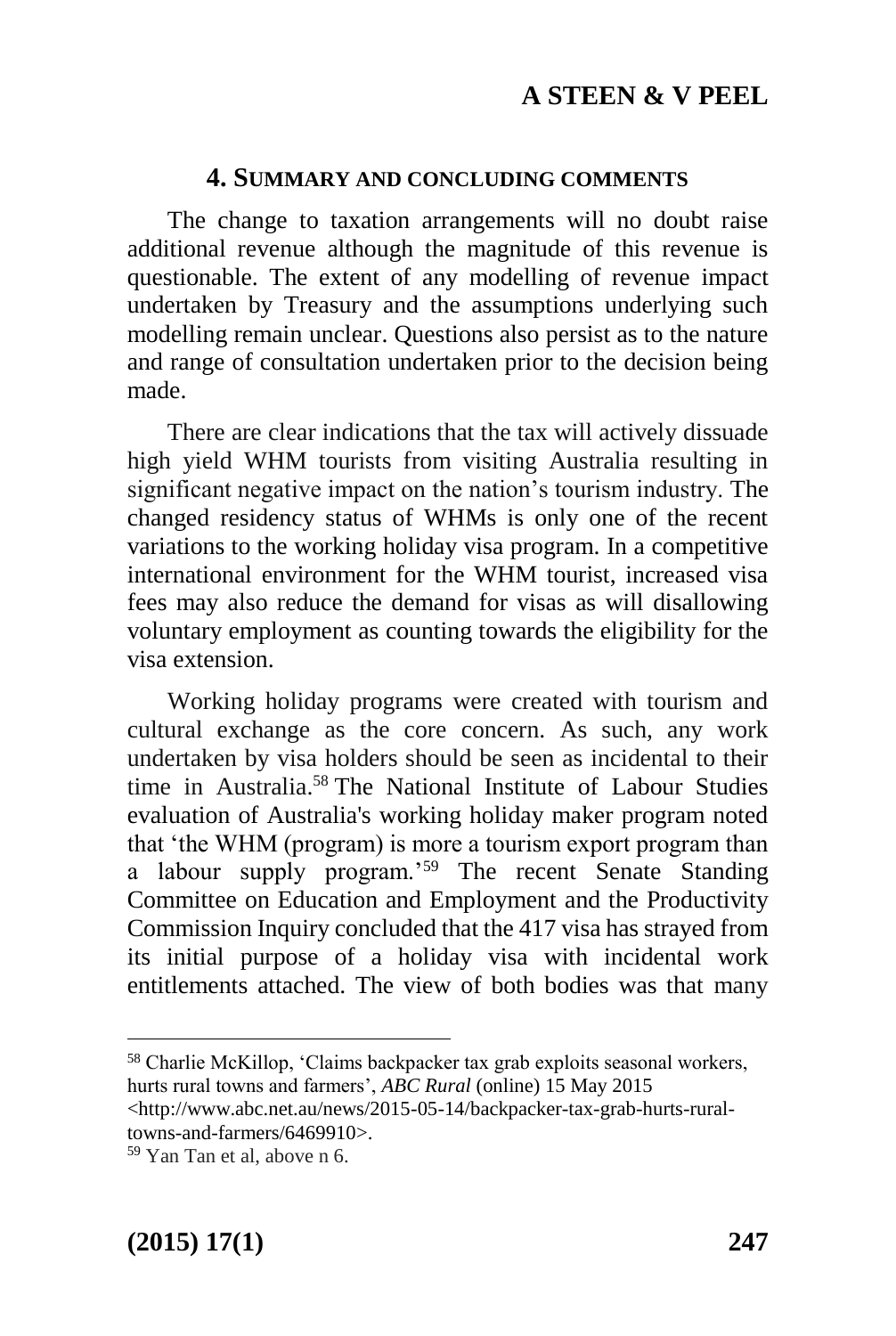#### **4. SUMMARY AND CONCLUDING COMMENTS**

The change to taxation arrangements will no doubt raise additional revenue although the magnitude of this revenue is questionable. The extent of any modelling of revenue impact undertaken by Treasury and the assumptions underlying such modelling remain unclear. Questions also persist as to the nature and range of consultation undertaken prior to the decision being made.

There are clear indications that the tax will actively dissuade high yield WHM tourists from visiting Australia resulting in significant negative impact on the nation's tourism industry. The changed residency status of WHMs is only one of the recent variations to the working holiday visa program. In a competitive international environment for the WHM tourist, increased visa fees may also reduce the demand for visas as will disallowing voluntary employment as counting towards the eligibility for the visa extension.

Working holiday programs were created with tourism and cultural exchange as the core concern. As such, any work undertaken by visa holders should be seen as incidental to their time in Australia.<sup>58</sup> The [National Institute of Labour Studies](mailto:nils@flinders.edu.au?subject=Query%20about%20web%20page%20%27Evaluation%20of%20Australia%27s%20working%20holiday%20maker%20program%27%20%28section%3A%20Completed%20projects%29&body=URL%20/sabs/nils/research/completed-projects/working-holiday-maker-program.cfm) evaluation of Australia's working holiday maker program noted that 'the WHM (program) is more a tourism export program than a labour supply program.'<sup>59</sup> The recent Senate Standing Committee on Education and Employment and the Productivity Commission Inquiry concluded that the 417 visa has strayed from its initial purpose of a holiday visa with incidental work entitlements attached. The view of both bodies was that many

1

<sup>58</sup> Charlie McKillop, 'Claims backpacker tax grab exploits seasonal workers, hurts rural towns and farmers', *ABC Rural* (online) 15 May 2015

<sup>&</sup>lt;http://www.abc.net.au/news/2015-05-14/backpacker-tax-grab-hurts-ruraltowns-and-farmers/6469910>.

<sup>59</sup> Yan Tan et al, above n 6.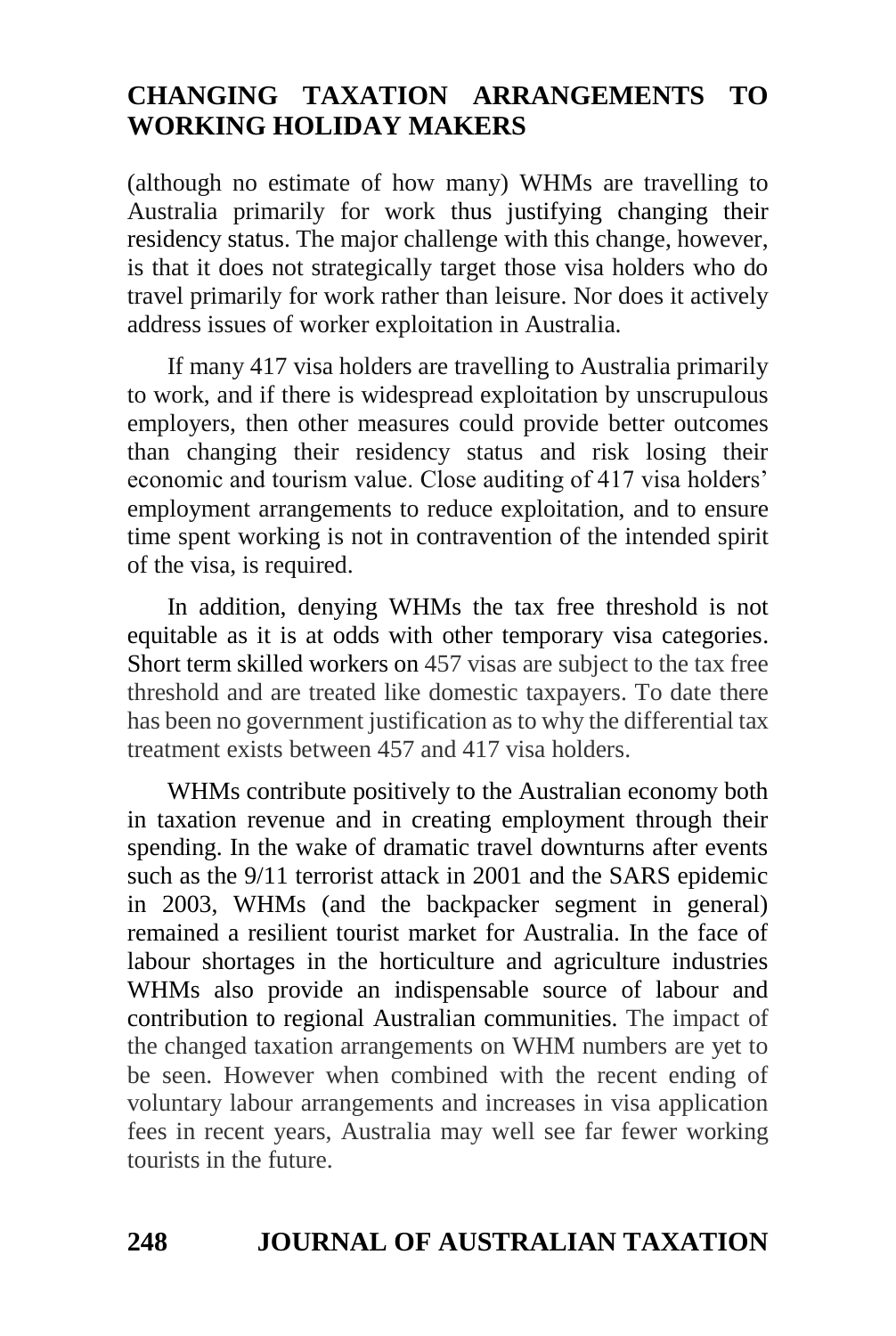(although no estimate of how many) WHMs are travelling to Australia primarily for work thus justifying changing their residency status. The major challenge with this change, however, is that it does not strategically target those visa holders who do travel primarily for work rather than leisure. Nor does it actively address issues of worker exploitation in Australia.

If many 417 visa holders are travelling to Australia primarily to work, and if there is widespread exploitation by unscrupulous employers, then other measures could provide better outcomes than changing their residency status and risk losing their economic and tourism value. Close auditing of 417 visa holders' employment arrangements to reduce exploitation, and to ensure time spent working is not in contravention of the intended spirit of the visa, is required.

In addition, denying WHMs the tax free threshold is not equitable as it is at odds with other temporary visa categories. Short term skilled workers on 457 visas are subject to the tax free threshold and are treated like domestic taxpayers. To date there has been no government justification as to why the differential tax treatment exists between 457 and 417 visa holders.

WHMs contribute positively to the Australian economy both in taxation revenue and in creating employment through their spending. In the wake of dramatic travel downturns after events such as the 9/11 terrorist attack in 2001 and the SARS epidemic in 2003, WHMs (and the backpacker segment in general) remained a resilient tourist market for Australia. In the face of labour shortages in the horticulture and agriculture industries WHMs also provide an indispensable source of labour and contribution to regional Australian communities. The impact of the changed taxation arrangements on WHM numbers are yet to be seen. However when combined with the recent ending of voluntary labour arrangements and increases in visa application fees in recent years, Australia may well see far fewer working tourists in the future.